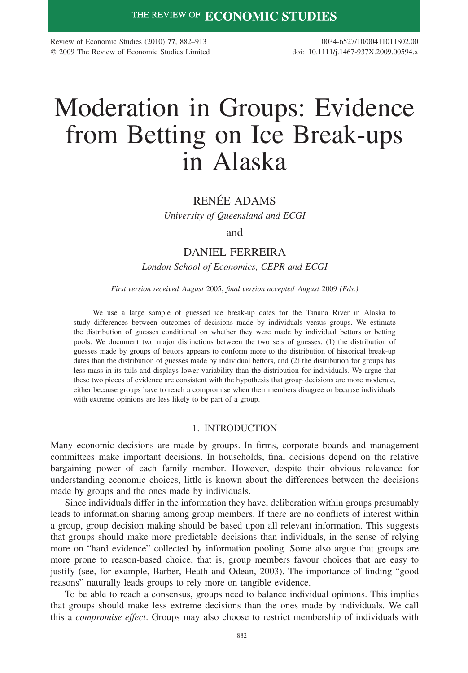Review of Economic Studies (2010) **77**, 882–913 0034-6527/10/00411011\$02.00 © 2009 The Review of Economic Studies Limited doi: 10.1111/j.1467-937X.2009.00594.x

# Moderation in Groups: Evidence from Betting on Ice Break-ups in Alaska

## RENÉE ADAMS

*University of Queensland and ECGI*

and

## DANIEL FERREIRA

*London School of Economics, CEPR and ECGI*

*First version received August* 2005; *final version accepted August* 2009 *(Eds.)*

We use a large sample of guessed ice break-up dates for the Tanana River in Alaska to study differences between outcomes of decisions made by individuals versus groups. We estimate the distribution of guesses conditional on whether they were made by individual bettors or betting pools. We document two major distinctions between the two sets of guesses: (1) the distribution of guesses made by groups of bettors appears to conform more to the distribution of historical break-up dates than the distribution of guesses made by individual bettors, and (2) the distribution for groups has less mass in its tails and displays lower variability than the distribution for individuals. We argue that these two pieces of evidence are consistent with the hypothesis that group decisions are more moderate, either because groups have to reach a compromise when their members disagree or because individuals with extreme opinions are less likely to be part of a group.

## 1. INTRODUCTION

Many economic decisions are made by groups. In firms, corporate boards and management committees make important decisions. In households, final decisions depend on the relative bargaining power of each family member. However, despite their obvious relevance for understanding economic choices, little is known about the differences between the decisions made by groups and the ones made by individuals.

Since individuals differ in the information they have, deliberation within groups presumably leads to information sharing among group members. If there are no conflicts of interest within a group, group decision making should be based upon all relevant information. This suggests that groups should make more predictable decisions than individuals, in the sense of relying more on "hard evidence" collected by information pooling. Some also argue that groups are more prone to reason-based choice, that is, group members favour choices that are easy to justify (see, for example, Barber, Heath and Odean, 2003). The importance of finding "good reasons" naturally leads groups to rely more on tangible evidence.

To be able to reach a consensus, groups need to balance individual opinions. This implies that groups should make less extreme decisions than the ones made by individuals. We call this a *compromise effect*. Groups may also choose to restrict membership of individuals with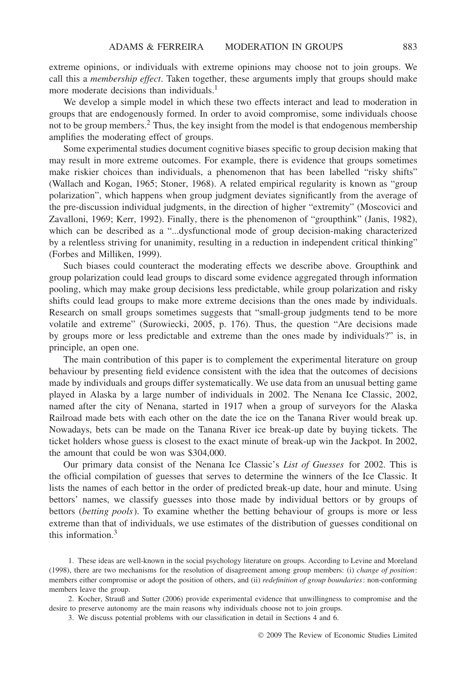extreme opinions, or individuals with extreme opinions may choose not to join groups. We call this a *membership effect*. Taken together, these arguments imply that groups should make more moderate decisions than individuals.<sup>1</sup>

We develop a simple model in which these two effects interact and lead to moderation in groups that are endogenously formed. In order to avoid compromise, some individuals choose not to be group members.2 Thus, the key insight from the model is that endogenous membership amplifies the moderating effect of groups.

Some experimental studies document cognitive biases specific to group decision making that may result in more extreme outcomes. For example, there is evidence that groups sometimes make riskier choices than individuals, a phenomenon that has been labelled "risky shifts" (Wallach and Kogan, 1965; Stoner, 1968). A related empirical regularity is known as "group polarization", which happens when group judgment deviates significantly from the average of the pre-discussion individual judgments, in the direction of higher "extremity" (Moscovici and Zavalloni, 1969; Kerr, 1992). Finally, there is the phenomenon of "groupthink" (Janis, 1982), which can be described as a "...dysfunctional mode of group decision-making characterized by a relentless striving for unanimity, resulting in a reduction in independent critical thinking" (Forbes and Milliken, 1999).

Such biases could counteract the moderating effects we describe above. Groupthink and group polarization could lead groups to discard some evidence aggregated through information pooling, which may make group decisions less predictable, while group polarization and risky shifts could lead groups to make more extreme decisions than the ones made by individuals. Research on small groups sometimes suggests that "small-group judgments tend to be more volatile and extreme" (Surowiecki, 2005, p. 176). Thus, the question "Are decisions made by groups more or less predictable and extreme than the ones made by individuals?" is, in principle, an open one.

The main contribution of this paper is to complement the experimental literature on group behaviour by presenting field evidence consistent with the idea that the outcomes of decisions made by individuals and groups differ systematically. We use data from an unusual betting game played in Alaska by a large number of individuals in 2002. The Nenana Ice Classic, 2002, named after the city of Nenana, started in 1917 when a group of surveyors for the Alaska Railroad made bets with each other on the date the ice on the Tanana River would break up. Nowadays, bets can be made on the Tanana River ice break-up date by buying tickets. The ticket holders whose guess is closest to the exact minute of break-up win the Jackpot. In 2002, the amount that could be won was \$304,000.

Our primary data consist of the Nenana Ice Classic's *List of Guesses* for 2002. This is the official compilation of guesses that serves to determine the winners of the Ice Classic. It lists the names of each bettor in the order of predicted break-up date, hour and minute. Using bettors' names, we classify guesses into those made by individual bettors or by groups of bettors (*betting pools*). To examine whether the betting behaviour of groups is more or less extreme than that of individuals, we use estimates of the distribution of guesses conditional on this information  $3$ 

1. These ideas are well-known in the social psychology literature on groups. According to Levine and Moreland (1998), there are two mechanisms for the resolution of disagreement among group members: (i) *change of position*: members either compromise or adopt the position of others, and (ii) *redefinition of group boundaries*: non-conforming members leave the group.

2. Kocher, Strauß and Sutter (2006) provide experimental evidence that unwillingness to compromise and the desire to preserve autonomy are the main reasons why individuals choose not to join groups.

3. We discuss potential problems with our classification in detail in Sections 4 and 6.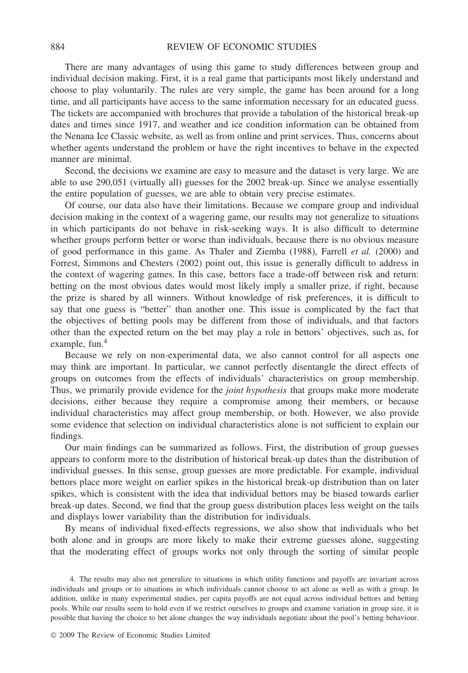There are many advantages of using this game to study differences between group and individual decision making. First, it is a real game that participants most likely understand and choose to play voluntarily. The rules are very simple, the game has been around for a long time, and all participants have access to the same information necessary for an educated guess. The tickets are accompanied with brochures that provide a tabulation of the historical break-up dates and times since 1917, and weather and ice condition information can be obtained from the Nenana Ice Classic website, as well as from online and print services. Thus, concerns about whether agents understand the problem or have the right incentives to behave in the expected manner are minimal.

Second, the decisions we examine are easy to measure and the dataset is very large. We are able to use 290,051 (virtually all) guesses for the 2002 break-up. Since we analyse essentially the entire population of guesses, we are able to obtain very precise estimates.

Of course, our data also have their limitations. Because we compare group and individual decision making in the context of a wagering game, our results may not generalize to situations in which participants do not behave in risk-seeking ways. It is also difficult to determine whether groups perform better or worse than individuals, because there is no obvious measure of good performance in this game. As Thaler and Ziemba (1988), Farrell *et al.* (2000) and Forrest, Simmons and Chesters (2002) point out, this issue is generally difficult to address in the context of wagering games. In this case, bettors face a trade-off between risk and return: betting on the most obvious dates would most likely imply a smaller prize, if right, because the prize is shared by all winners. Without knowledge of risk preferences, it is difficult to say that one guess is "better" than another one. This issue is complicated by the fact that the objectives of betting pools may be different from those of individuals, and that factors other than the expected return on the bet may play a role in bettors' objectives, such as, for example, fun.<sup>4</sup>

Because we rely on non-experimental data, we also cannot control for all aspects one may think are important. In particular, we cannot perfectly disentangle the direct effects of groups on outcomes from the effects of individuals' characteristics on group membership. Thus, we primarily provide evidence for the *joint hypothesis* that groups make more moderate decisions, either because they require a compromise among their members, or because individual characteristics may affect group membership, or both. However, we also provide some evidence that selection on individual characteristics alone is not sufficient to explain our findings.

Our main findings can be summarized as follows. First, the distribution of group guesses appears to conform more to the distribution of historical break-up dates than the distribution of individual guesses. In this sense, group guesses are more predictable. For example, individual bettors place more weight on earlier spikes in the historical break-up distribution than on later spikes, which is consistent with the idea that individual bettors may be biased towards earlier break-up dates. Second, we find that the group guess distribution places less weight on the tails and displays lower variability than the distribution for individuals.

By means of individual fixed-effects regressions, we also show that individuals who bet both alone and in groups are more likely to make their extreme guesses alone, suggesting that the moderating effect of groups works not only through the sorting of similar people

<sup>4.</sup> The results may also not generalize to situations in which utility functions and payoffs are invariant across individuals and groups or to situations in which individuals cannot choose to act alone as well as with a group. In addition, unlike in many experimental studies, per capita payoffs are not equal across individual bettors and betting pools. While our results seem to hold even if we restrict ourselves to groups and examine variation in group size, it is possible that having the choice to bet alone changes the way individuals negotiate about the pool's betting behaviour.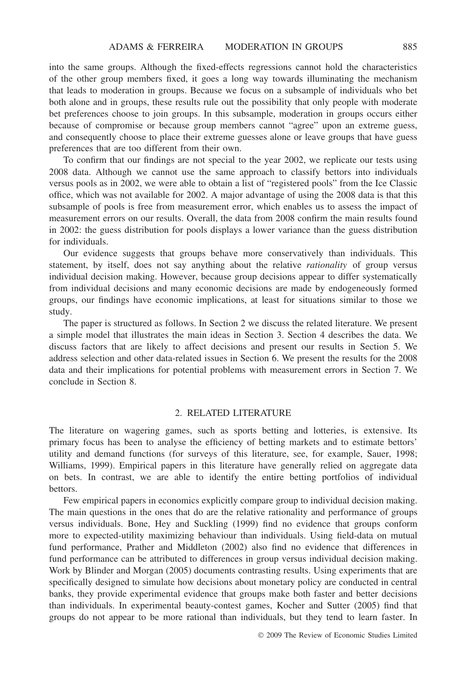into the same groups. Although the fixed-effects regressions cannot hold the characteristics of the other group members fixed, it goes a long way towards illuminating the mechanism that leads to moderation in groups. Because we focus on a subsample of individuals who bet both alone and in groups, these results rule out the possibility that only people with moderate bet preferences choose to join groups. In this subsample, moderation in groups occurs either because of compromise or because group members cannot "agree" upon an extreme guess, and consequently choose to place their extreme guesses alone or leave groups that have guess preferences that are too different from their own.

To confirm that our findings are not special to the year 2002, we replicate our tests using 2008 data. Although we cannot use the same approach to classify bettors into individuals versus pools as in 2002, we were able to obtain a list of "registered pools" from the Ice Classic office, which was not available for 2002. A major advantage of using the 2008 data is that this subsample of pools is free from measurement error, which enables us to assess the impact of measurement errors on our results. Overall, the data from 2008 confirm the main results found in 2002: the guess distribution for pools displays a lower variance than the guess distribution for individuals.

Our evidence suggests that groups behave more conservatively than individuals. This statement, by itself, does not say anything about the relative *rationality* of group versus individual decision making. However, because group decisions appear to differ systematically from individual decisions and many economic decisions are made by endogeneously formed groups, our findings have economic implications, at least for situations similar to those we study.

The paper is structured as follows. In Section 2 we discuss the related literature. We present a simple model that illustrates the main ideas in Section 3. Section 4 describes the data. We discuss factors that are likely to affect decisions and present our results in Section 5. We address selection and other data-related issues in Section 6. We present the results for the 2008 data and their implications for potential problems with measurement errors in Section 7. We conclude in Section 8.

## 2. RELATED LITERATURE

The literature on wagering games, such as sports betting and lotteries, is extensive. Its primary focus has been to analyse the efficiency of betting markets and to estimate bettors' utility and demand functions (for surveys of this literature, see, for example, Sauer, 1998; Williams, 1999). Empirical papers in this literature have generally relied on aggregate data on bets. In contrast, we are able to identify the entire betting portfolios of individual bettors.

Few empirical papers in economics explicitly compare group to individual decision making. The main questions in the ones that do are the relative rationality and performance of groups versus individuals. Bone, Hey and Suckling (1999) find no evidence that groups conform more to expected-utility maximizing behaviour than individuals. Using field-data on mutual fund performance, Prather and Middleton (2002) also find no evidence that differences in fund performance can be attributed to differences in group versus individual decision making. Work by Blinder and Morgan (2005) documents contrasting results. Using experiments that are specifically designed to simulate how decisions about monetary policy are conducted in central banks, they provide experimental evidence that groups make both faster and better decisions than individuals. In experimental beauty-contest games, Kocher and Sutter (2005) find that groups do not appear to be more rational than individuals, but they tend to learn faster. In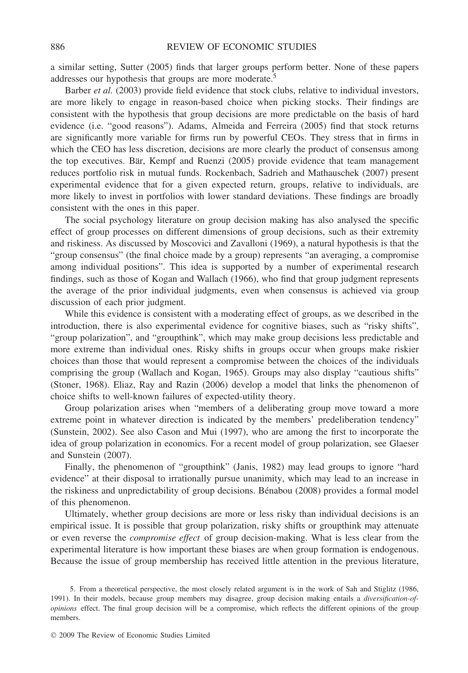a similar setting, Sutter (2005) finds that larger groups perform better. None of these papers addresses our hypothesis that groups are more moderate.<sup>5</sup>

Barber *et al.* (2003) provide field evidence that stock clubs, relative to individual investors, are more likely to engage in reason-based choice when picking stocks. Their findings are consistent with the hypothesis that group decisions are more predictable on the basis of hard evidence (i.e. "good reasons"). Adams, Almeida and Ferreira (2005) find that stock returns are significantly more variable for firms run by powerful CEOs. They stress that in firms in which the CEO has less discretion, decisions are more clearly the product of consensus among the top executives. Bär, Kempf and Ruenzi (2005) provide evidence that team management reduces portfolio risk in mutual funds. Rockenbach, Sadrieh and Mathauschek (2007) present experimental evidence that for a given expected return, groups, relative to individuals, are more likely to invest in portfolios with lower standard deviations. These findings are broadly consistent with the ones in this paper.

The social psychology literature on group decision making has also analysed the specific effect of group processes on different dimensions of group decisions, such as their extremity and riskiness. As discussed by Moscovici and Zavalloni (1969), a natural hypothesis is that the "group consensus" (the final choice made by a group) represents "an averaging, a compromise among individual positions". This idea is supported by a number of experimental research findings, such as those of Kogan and Wallach (1966), who find that group judgment represents the average of the prior individual judgments, even when consensus is achieved via group discussion of each prior judgment.

While this evidence is consistent with a moderating effect of groups, as we described in the introduction, there is also experimental evidence for cognitive biases, such as "risky shifts", "group polarization", and "groupthink", which may make group decisions less predictable and more extreme than individual ones. Risky shifts in groups occur when groups make riskier choices than those that would represent a compromise between the choices of the individuals comprising the group (Wallach and Kogan, 1965). Groups may also display "cautious shifts" (Stoner, 1968). Eliaz, Ray and Razin (2006) develop a model that links the phenomenon of choice shifts to well-known failures of expected-utility theory.

Group polarization arises when "members of a deliberating group move toward a more extreme point in whatever direction is indicated by the members' predeliberation tendency" (Sunstein, 2002). See also Cason and Mui (1997), who are among the first to incorporate the idea of group polarization in economics. For a recent model of group polarization, see Glaeser and Sunstein (2007).

Finally, the phenomenon of "groupthink" (Janis, 1982) may lead groups to ignore "hard evidence" at their disposal to irrationally pursue unanimity, which may lead to an increase in the riskiness and unpredictability of group decisions. Bénabou (2008) provides a formal model of this phenomenon.

Ultimately, whether group decisions are more or less risky than individual decisions is an empirical issue. It is possible that group polarization, risky shifts or groupthink may attenuate or even reverse the *compromise effect* of group decision-making. What is less clear from the experimental literature is how important these biases are when group formation is endogenous. Because the issue of group membership has received little attention in the previous literature,

<sup>5.</sup> From a theoretical perspective, the most closely related argument is in the work of Sah and Stiglitz (1986, 1991). In their models, because group members may disagree, group decision making entails a *diversification-ofopinions* effect. The final group decision will be a compromise, which reflects the different opinions of the group members.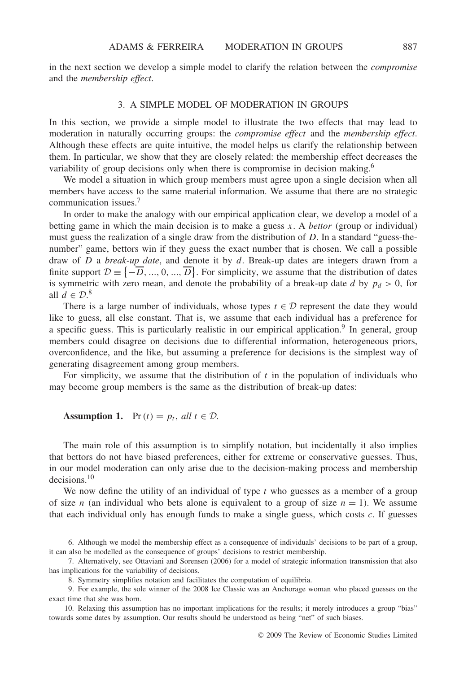in the next section we develop a simple model to clarify the relation between the *compromise* and the *membership effect*.

## 3. A SIMPLE MODEL OF MODERATION IN GROUPS

In this section, we provide a simple model to illustrate the two effects that may lead to moderation in naturally occurring groups: the *compromise effect* and the *membership effect*. Although these effects are quite intuitive, the model helps us clarify the relationship between them. In particular, we show that they are closely related: the membership effect decreases the variability of group decisions only when there is compromise in decision making.<sup>6</sup>

We model a situation in which group members must agree upon a single decision when all members have access to the same material information. We assume that there are no strategic communication issues.7

In order to make the analogy with our empirical application clear, we develop a model of a betting game in which the main decision is to make a guess *x*. A *bettor* (group or individual) must guess the realization of a single draw from the distribution of *D*. In a standard "guess-thenumber" game, bettors win if they guess the exact number that is chosen. We call a possible draw of *D* a *break-up date*, and denote it by *d*. Break-up dates are integers drawn from a finite support  $\mathcal{D} \equiv \{-D, ..., 0, ..., D\}$ . For simplicity, we assume that the distribution of dates is symmetric with zero mean, and denote the probability of a break-up date *d* by  $p_d > 0$ , for all  $d \in \mathcal{D}^8$ .

There is a large number of individuals, whose types  $t \in \mathcal{D}$  represent the date they would like to guess, all else constant. That is, we assume that each individual has a preference for a specific guess. This is particularly realistic in our empirical application.<sup>9</sup> In general, group members could disagree on decisions due to differential information, heterogeneous priors, overconfidence, and the like, but assuming a preference for decisions is the simplest way of generating disagreement among group members.

For simplicity, we assume that the distribution of  $t$  in the population of individuals who may become group members is the same as the distribution of break-up dates:

## **Assumption 1.** Pr $(t) = p_t$ , *all*  $t \in \mathcal{D}$ .

The main role of this assumption is to simplify notation, but incidentally it also implies that bettors do not have biased preferences, either for extreme or conservative guesses. Thus, in our model moderation can only arise due to the decision-making process and membership decisions.10

We now define the utility of an individual of type  $t$  who guesses as a member of a group of size *n* (an individual who bets alone is equivalent to a group of size  $n = 1$ ). We assume that each individual only has enough funds to make a single guess, which costs *c*. If guesses

10. Relaxing this assumption has no important implications for the results; it merely introduces a group "bias" towards some dates by assumption. Our results should be understood as being "net" of such biases.

<sup>6.</sup> Although we model the membership effect as a consequence of individuals' decisions to be part of a group, it can also be modelled as the consequence of groups' decisions to restrict membership.

<sup>7.</sup> Alternatively, see Ottaviani and Sorensen (2006) for a model of strategic information transmission that also has implications for the variability of decisions.

<sup>8.</sup> Symmetry simplifies notation and facilitates the computation of equilibria.

<sup>9.</sup> For example, the sole winner of the 2008 Ice Classic was an Anchorage woman who placed guesses on the exact time that she was born.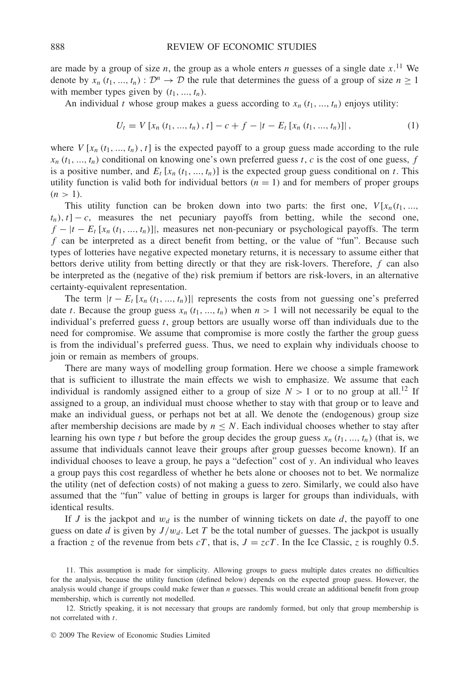are made by a group of size *n*, the group as a whole enters *n* guesses of a single date  $x$ .<sup>11</sup> We denote by  $x_n$   $(t_1, ..., t_n)$ :  $\mathcal{D}^n \to \mathcal{D}$  the rule that determines the guess of a group of size  $n \ge 1$ with member types given by  $(t_1, ..., t_n)$ .

An individual *t* whose group makes a guess according to  $x_n$   $(t_1, ..., t_n)$  enjoys utility:

$$
U_t = V[x_n(t_1, ..., t_n), t] - c + f - |t - E_t[x_n(t_1, ..., t_n)]|,
$$
\n(1)

where  $V$  [ $x_n$   $(t_1, ..., t_n)$ ,  $t$ ] is the expected payoff to a group guess made according to the rule  $x_n$  ( $t_1, \ldots, t_n$ ) conditional on knowing one's own preferred guess  $t$ ,  $c$  is the cost of one guess,  $f$ is a positive number, and  $E_t$  [ $x_n$   $(t_1, ..., t_n)$ ] is the expected group guess conditional on *t*. This utility function is valid both for individual bettors  $(n = 1)$  and for members of proper groups  $(n > 1)$ .

This utility function can be broken down into two parts: the first one,  $V[x_n(t_1, ...,$  $t_n$ , *t*] − *c*, measures the net pecuniary payoffs from betting, while the second one,  $f - |t - E_t[x_n(t_1, ..., t_n)]|$ , measures net non-pecuniary or psychological payoffs. The term *f* can be interpreted as a direct benefit from betting, or the value of "fun". Because such types of lotteries have negative expected monetary returns, it is necessary to assume either that bettors derive utility from betting directly or that they are risk-lovers. Therefore, *f* can also be interpreted as the (negative of the) risk premium if bettors are risk-lovers, in an alternative certainty-equivalent representation.

The term  $|t - E_t[x_n(t_1, ..., t_n)]|$  represents the costs from not guessing one's preferred date *t*. Because the group guess  $x_n$   $(t_1, ..., t_n)$  when  $n > 1$  will not necessarily be equal to the individual's preferred guess *t*, group bettors are usually worse off than individuals due to the need for compromise. We assume that compromise is more costly the farther the group guess is from the individual's preferred guess. Thus, we need to explain why individuals choose to join or remain as members of groups.

There are many ways of modelling group formation. Here we choose a simple framework that is sufficient to illustrate the main effects we wish to emphasize. We assume that each individual is randomly assigned either to a group of size  $N > 1$  or to no group at all.<sup>12</sup> If assigned to a group, an individual must choose whether to stay with that group or to leave and make an individual guess, or perhaps not bet at all. We denote the (endogenous) group size after membership decisions are made by  $n \leq N$ . Each individual chooses whether to stay after learning his own type *t* but before the group decides the group guess  $x_n$   $(t_1, ..., t_n)$  (that is, we assume that individuals cannot leave their groups after group guesses become known). If an individual chooses to leave a group, he pays a "defection" cost of *y*. An individual who leaves a group pays this cost regardless of whether he bets alone or chooses not to bet. We normalize the utility (net of defection costs) of not making a guess to zero. Similarly, we could also have assumed that the "fun" value of betting in groups is larger for groups than individuals, with identical results.

If *J* is the jackpot and  $w_d$  is the number of winning tickets on date *d*, the payoff to one guess on date *d* is given by  $J/w_d$ . Let *T* be the total number of guesses. The jackpot is usually a fraction *z* of the revenue from bets *cT*, that is,  $J = zcT$ . In the Ice Classic, *z* is roughly 0.5.

12. Strictly speaking, it is not necessary that groups are randomly formed, but only that group membership is not correlated with *t*.

<sup>11.</sup> This assumption is made for simplicity. Allowing groups to guess multiple dates creates no difficulties for the analysis, because the utility function (defined below) depends on the expected group guess. However, the analysis would change if groups could make fewer than *n* guesses. This would create an additional benefit from group membership, which is currently not modelled.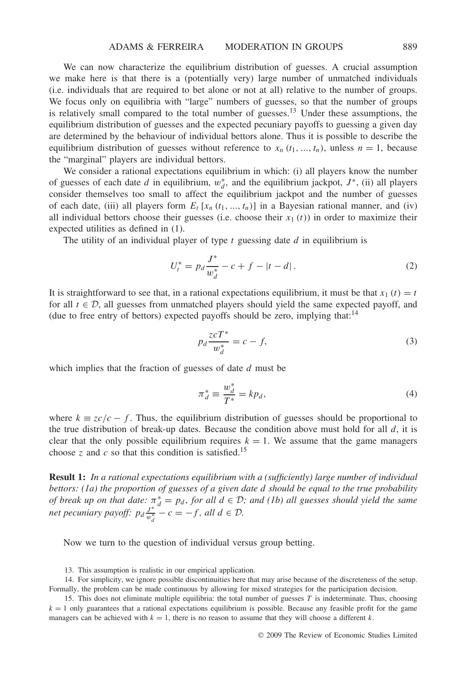We can now characterize the equilibrium distribution of guesses. A crucial assumption we make here is that there is a (potentially very) large number of unmatched individuals (i.e. individuals that are required to bet alone or not at all) relative to the number of groups. We focus only on equilibria with "large" numbers of guesses, so that the number of groups is relatively small compared to the total number of guesses.<sup>13</sup> Under these assumptions, the equilibrium distribution of guesses and the expected pecuniary payoffs to guessing a given day are determined by the behaviour of individual bettors alone. Thus it is possible to describe the equilibrium distribution of guesses without reference to  $x_n$   $(t_1, ..., t_n)$ , unless  $n = 1$ , because the "marginal" players are individual bettors.

We consider a rational expectations equilibrium in which: (i) all players know the number of guesses of each date *d* in equilibrium,  $w_d^*$ , and the equilibrium jackpot,  $J^*$ , (ii) all players consider themselves too small to affect the equilibrium jackpot and the number of guesses of each date, (iii) all players form  $E_t$   $[x_n (t_1, ..., t_n)]$  in a Bayesian rational manner, and (iv) all individual bettors choose their guesses (i.e. choose their  $x_1(t)$ ) in order to maximize their expected utilities as defined in (1).

The utility of an individual player of type *t* guessing date *d* in equilibrium is

$$
U_t^* = p_d \frac{J^*}{w_d^*} - c + f - |t - d|.
$$
 (2)

It is straightforward to see that, in a rational expectations equilibrium, it must be that  $x_1(t) = t$ for all  $t \in \mathcal{D}$ , all guesses from unmatched players should yield the same expected payoff, and (due to free entry of bettors) expected payoffs should be zero, implying that:14

$$
p_d \frac{z c T^*}{w_d^*} = c - f,\tag{3}
$$

which implies that the fraction of guesses of date *d* must be

$$
\pi_d^* \equiv \frac{w_d^*}{T^*} = k p_d,\tag{4}
$$

where  $k \equiv z c/c - f$ . Thus, the equilibrium distribution of guesses should be proportional to the true distribution of break-up dates. Because the condition above must hold for all *d*, it is clear that the only possible equilibrium requires  $k = 1$ . We assume that the game managers choose *z* and *c* so that this condition is satisfied.<sup>15</sup>

**Result 1:** *In a rational expectations equilibrium with a (sufficiently) large number of individual bettors: (1a) the proportion of guesses of a given date d should be equal to the true probability of break up on that date:*  $\pi_d^* = p_d$ , *for all*  $d \in \mathcal{D}$ ; *and (1b) all guesses should yield the same net pecuniary payoff:*  $p_d \frac{J^*}{w_d^*} - c = -f$ , all  $d \in \mathcal{D}$ .

Now we turn to the question of individual versus group betting.

13. This assumption is realistic in our empirical application.

14. For simplicity, we ignore possible discontinuities here that may arise because of the discreteness of the setup. Formally, the problem can be made continuous by allowing for mixed strategies for the participation decision.

<sup>15.</sup> This does not eliminate multiple equilibria: the total number of guesses *T* is indeterminate. Thus, choosing  $k = 1$  only guarantees that a rational expectations equilibrium is possible. Because any feasible profit for the game managers can be achieved with  $k = 1$ , there is no reason to assume that they will choose a different k.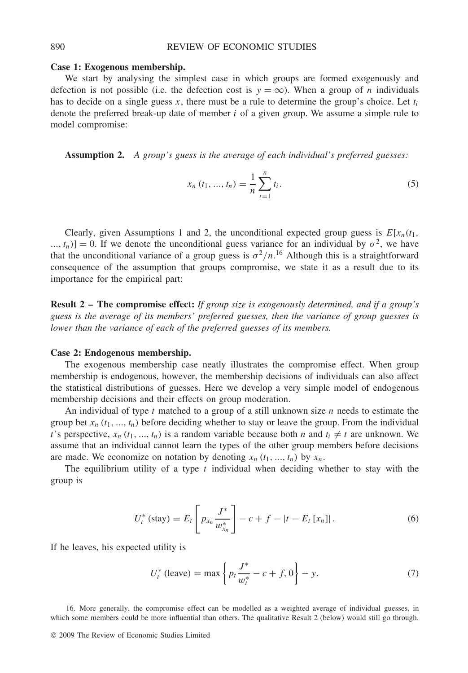## 890 REVIEW OF ECONOMIC STUDIES

### **Case 1: Exogenous membership.**

We start by analysing the simplest case in which groups are formed exogenously and defection is not possible (i.e. the defection cost is  $y = \infty$ ). When a group of *n* individuals has to decide on a single guess  $x$ , there must be a rule to determine the group's choice. Let  $t_i$ denote the preferred break-up date of member *i* of a given group. We assume a simple rule to model compromise:

**Assumption 2.** *A group's guess is the average of each individual's preferred guesses:*

$$
x_n(t_1, ..., t_n) = \frac{1}{n} \sum_{i=1}^n t_i.
$$
 (5)

Clearly, given Assumptions 1 and 2, the unconditional expected group guess is  $E[x_n(t_1, t_2)]$ *..., t<sub>n</sub>*)] = 0. If we denote the unconditional guess variance for an individual by  $\sigma^2$ , we have that the unconditional variance of a group guess is  $\sigma^2/n$ .<sup>16</sup> Although this is a straightforward consequence of the assumption that groups compromise, we state it as a result due to its importance for the empirical part:

**Result 2 – The compromise effect:** *If group size is exogenously determined, and if a group's guess is the average of its members' preferred guesses, then the variance of group guesses is lower than the variance of each of the preferred guesses of its members.*

## **Case 2: Endogenous membership.**

The exogenous membership case neatly illustrates the compromise effect. When group membership is endogenous, however, the membership decisions of individuals can also affect the statistical distributions of guesses. Here we develop a very simple model of endogenous membership decisions and their effects on group moderation.

An individual of type *t* matched to a group of a still unknown size *n* needs to estimate the group bet  $x_n$   $(t_1, ..., t_n)$  before deciding whether to stay or leave the group. From the individual *t*'s perspective,  $x_n$   $(t_1, ..., t_n)$  is a random variable because both *n* and  $t_i \neq t$  are unknown. We assume that an individual cannot learn the types of the other group members before decisions are made. We economize on notation by denoting  $x_n$   $(t_1, ..., t_n)$  by  $x_n$ .

The equilibrium utility of a type *t* individual when deciding whether to stay with the group is

$$
U_t^* \text{ (stay)} = E_t \left[ p_{x_n} \frac{J^*}{w_{x_n}^*} \right] - c + f - |t - E_t [x_n]|. \tag{6}
$$

If he leaves, his expected utility is

$$
U_t^* \text{ (leave)} = \max \left\{ p_t \frac{J^*}{w_t^*} - c + f, 0 \right\} - y. \tag{7}
$$

16. More generally, the compromise effect can be modelled as a weighted average of individual guesses, in which some members could be more influential than others. The qualitative Result 2 (below) would still go through.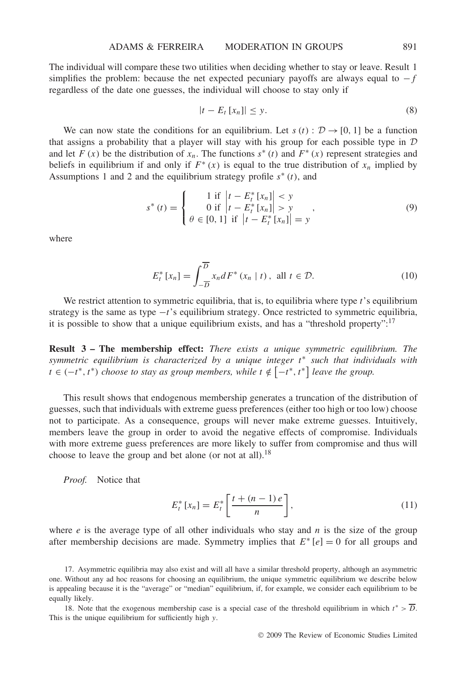The individual will compare these two utilities when deciding whether to stay or leave. Result 1 simplifies the problem: because the net expected pecuniary payoffs are always equal to −*f* regardless of the date one guesses, the individual will choose to stay only if

$$
|t - E_t[x_n]| \le y. \tag{8}
$$

We can now state the conditions for an equilibrium. Let  $s(t): \mathcal{D} \to [0, 1]$  be a function that assigns a probability that a player will stay with his group for each possible type in  $D$ and let *F*  $(x)$  be the distribution of  $x_n$ . The functions  $s^*(t)$  and  $F^*(x)$  represent strategies and beliefs in equilibrium if and only if  $F^*(x)$  is equal to the true distribution of  $x_n$  implied by Assumptions 1 and 2 and the equilibrium strategy profile *s*∗ *(t)*, and

$$
s^*(t) = \begin{cases} 1 \text{ if } \left| t - E_t^* \left[ x_n \right] \right| < y \\ 0 \text{ if } \left| t - E_t^* \left[ x_n \right] \right| > y \\ \theta \in [0, 1] \text{ if } \left| t - E_t^* \left[ x_n \right] \right| = y \end{cases}, \tag{9}
$$

where

$$
E_t^* \left[ x_n \right] = \int_{-\overline{D}}^{\overline{D}} x_n dF^* \left( x_n \mid t \right), \text{ all } t \in \mathcal{D}.
$$
 (10)

We restrict attention to symmetric equilibria, that is, to equilibria where type *t*'s equilibrium strategy is the same as type −*t*'s equilibrium strategy. Once restricted to symmetric equilibria, it is possible to show that a unique equilibrium exists, and has a "threshold property":<sup>17</sup>

**Result 3 – The membership effect:** *There exists a unique symmetric equilibrium. The symmetric equilibrium is characterized by a unique integer t*∗ *such that individuals with t* ∈  $(-t^*, t^*)$  *choose to stay as group members, while*  $t \notin [-t^*, t^*]$  *leave the group.* 

This result shows that endogenous membership generates a truncation of the distribution of guesses, such that individuals with extreme guess preferences (either too high or too low) choose not to participate. As a consequence, groups will never make extreme guesses. Intuitively, members leave the group in order to avoid the negative effects of compromise. Individuals with more extreme guess preferences are more likely to suffer from compromise and thus will choose to leave the group and bet alone (or not at all).<sup>18</sup>

*Proof.* Notice that

$$
E_t^* \left[ x_n \right] = E_t^* \left[ \frac{t + (n-1)e}{n} \right], \tag{11}
$$

where  $e$  is the average type of all other individuals who stay and  $n$  is the size of the group after membership decisions are made. Symmetry implies that *E*<sup>∗</sup> [*e*] = 0 for all groups and

18. Note that the exogenous membership case is a special case of the threshold equilibrium in which *t* ∗ *> D*. This is the unique equilibrium for sufficiently high *y*.

<sup>17.</sup> Asymmetric equilibria may also exist and will all have a similar threshold property, although an asymmetric one. Without any ad hoc reasons for choosing an equilibrium, the unique symmetric equilibrium we describe below is appealing because it is the "average" or "median" equilibrium, if, for example, we consider each equilibrium to be equally likely.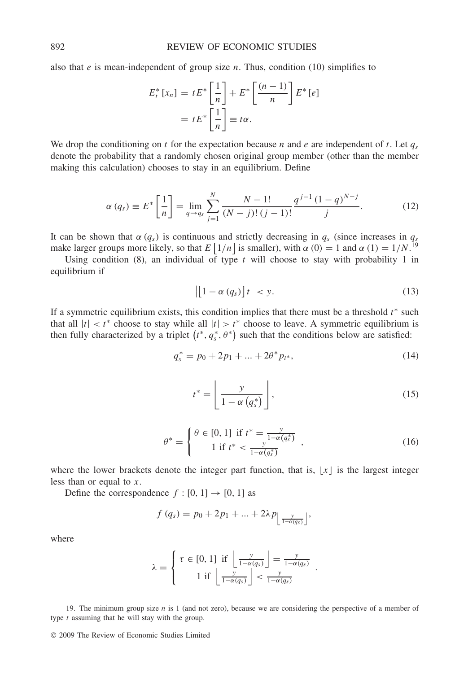also that *e* is mean-independent of group size *n*. Thus, condition (10) simplifies to

$$
E_t^* [x_n] = t E^* \left[ \frac{1}{n} \right] + E^* \left[ \frac{(n-1)}{n} \right] E^* [e]
$$
  
=  $t E^* \left[ \frac{1}{n} \right] \equiv t \alpha$ .

We drop the conditioning on *t* for the expectation because *n* and *e* are independent of *t*. Let  $q_s$ denote the probability that a randomly chosen original group member (other than the member making this calculation) chooses to stay in an equilibrium. Define

$$
\alpha(q_s) \equiv E^* \left[ \frac{1}{n} \right] = \lim_{q \to q_s} \sum_{j=1}^N \frac{N-1!}{(N-j)!(j-1)!} \frac{q^{j-1} (1-q)^{N-j}}{j}.
$$
 (12)

It can be shown that  $\alpha$  ( $q_s$ ) is continuous and strictly decreasing in  $q_s$  (since increases in  $q_s$ ) make larger groups more likely, so that  $E\left[1/n\right]$  is smaller), with  $\alpha$  (0) = 1 and  $\alpha$  (1) =  $1/N$ .<sup>19</sup>

Using condition (8), an individual of type *t* will choose to stay with probability 1 in equilibrium if

$$
\left| \left[ 1 - \alpha \left( q_s \right) \right] t \right| < y. \tag{13}
$$

If a symmetric equilibrium exists, this condition implies that there must be a threshold *t* ∗ such that all  $|t| < t^*$  choose to stay while all  $|t| > t^*$  choose to leave. A symmetric equilibrium is then fully characterized by a triplet  $(t^*, q^*, \theta^*)$  such that the conditions below are satisfied:

$$
q_s^* = p_0 + 2p_1 + \dots + 2\theta^* p_{t^*},\tag{14}
$$

$$
t^* = \left\lfloor \frac{y}{1 - \alpha \left( q_s^* \right)} \right\rfloor,\tag{15}
$$

$$
\theta^* = \begin{cases} \theta \in [0, 1] \text{ if } t^* = \frac{y}{1 - \alpha(q_s^*)} \\ 1 \text{ if } t^* < \frac{y}{1 - \alpha(q_s^*)} \end{cases},\tag{16}
$$

where the lower brackets denote the integer part function, that is,  $\lfloor x \rfloor$  is the largest integer less than or equal to *x*.

Define the correspondence  $f : [0, 1] \rightarrow [0, 1]$  as

$$
f(q_s) = p_0 + 2p_1 + \ldots + 2\lambda p_{\left\lfloor \frac{y}{1-\alpha(q_s)} \right\rfloor},
$$

where

$$
\lambda = \begin{cases} \tau \in [0, 1] \text{ if } \left\lfloor \frac{y}{1 - \alpha(q_s)} \right\rfloor = \frac{y}{1 - \alpha(q_s)} \\ 1 \text{ if } \left\lfloor \frac{y}{1 - \alpha(q_s)} \right\rfloor < \frac{y}{1 - \alpha(q_s)} \end{cases}.
$$

19. The minimum group size *n* is 1 (and not zero), because we are considering the perspective of a member of type *t* assuming that he will stay with the group.

<sup>©</sup> 2009 The Review of Economic Studies Limited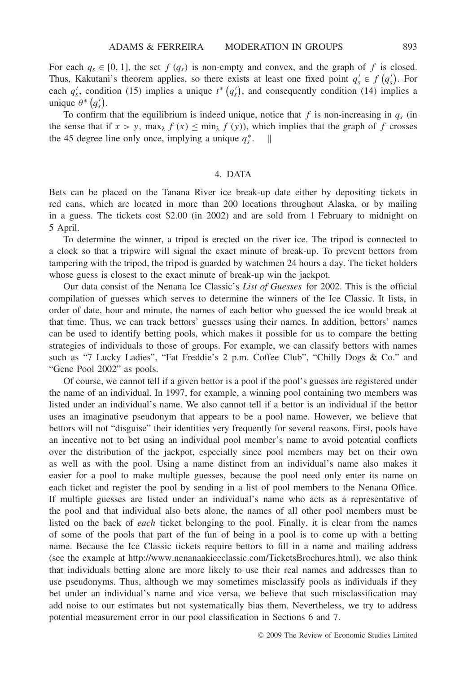For each  $q_s \in [0, 1]$ , the set  $f(q_s)$  is non-empty and convex, and the graph of f is closed. Thus, Kakutani's theorem applies, so there exists at least one fixed point  $q_s \in f(q_s)$ . For

each  $q_s$ , condition (15) implies a unique  $t^* (q_s)$ , and consequently condition (14) implies a unique  $\theta^* (q'_s)$ . To confirm that the equilibrium is indeed unique, notice that  $f$  is non-increasing in  $q_s$  (in

the sense that if  $x > y$ ,  $\max_{\lambda} f(x) \le \min_{\lambda} f(y)$ , which implies that the graph of *f* crosses the 45 degree line only once, implying a unique  $q_{\lambda}^*$ . the 45 degree line only once, implying a unique  $q_s^*$ .  $\parallel$ 

## 4. DATA

Bets can be placed on the Tanana River ice break-up date either by depositing tickets in red cans, which are located in more than 200 locations throughout Alaska, or by mailing in a guess. The tickets cost \$2.00 (in 2002) and are sold from 1 February to midnight on 5 April.

To determine the winner, a tripod is erected on the river ice. The tripod is connected to a clock so that a tripwire will signal the exact minute of break-up. To prevent bettors from tampering with the tripod, the tripod is guarded by watchmen 24 hours a day. The ticket holders whose guess is closest to the exact minute of break-up win the jackpot.

Our data consist of the Nenana Ice Classic's *List of Guesses* for 2002. This is the official compilation of guesses which serves to determine the winners of the Ice Classic. It lists, in order of date, hour and minute, the names of each bettor who guessed the ice would break at that time. Thus, we can track bettors' guesses using their names. In addition, bettors' names can be used to identify betting pools, which makes it possible for us to compare the betting strategies of individuals to those of groups. For example, we can classify bettors with names such as "7 Lucky Ladies", "Fat Freddie's 2 p.m. Coffee Club", "Chilly Dogs & Co." and "Gene Pool 2002" as pools.

Of course, we cannot tell if a given bettor is a pool if the pool's guesses are registered under the name of an individual. In 1997, for example, a winning pool containing two members was listed under an individual's name. We also cannot tell if a bettor is an individual if the bettor uses an imaginative pseudonym that appears to be a pool name. However, we believe that bettors will not "disguise" their identities very frequently for several reasons. First, pools have an incentive not to bet using an individual pool member's name to avoid potential conflicts over the distribution of the jackpot, especially since pool members may bet on their own as well as with the pool. Using a name distinct from an individual's name also makes it easier for a pool to make multiple guesses, because the pool need only enter its name on each ticket and register the pool by sending in a list of pool members to the Nenana Office. If multiple guesses are listed under an individual's name who acts as a representative of the pool and that individual also bets alone, the names of all other pool members must be listed on the back of *each* ticket belonging to the pool. Finally, it is clear from the names of some of the pools that part of the fun of being in a pool is to come up with a betting name. Because the Ice Classic tickets require bettors to fill in a name and mailing address (see the example at http://www.nenanaakiceclassic.com/TicketsBrochures.html), we also think that individuals betting alone are more likely to use their real names and addresses than to use pseudonyms. Thus, although we may sometimes misclassify pools as individuals if they bet under an individual's name and vice versa, we believe that such misclassification may add noise to our estimates but not systematically bias them. Nevertheless, we try to address potential measurement error in our pool classification in Sections 6 and 7.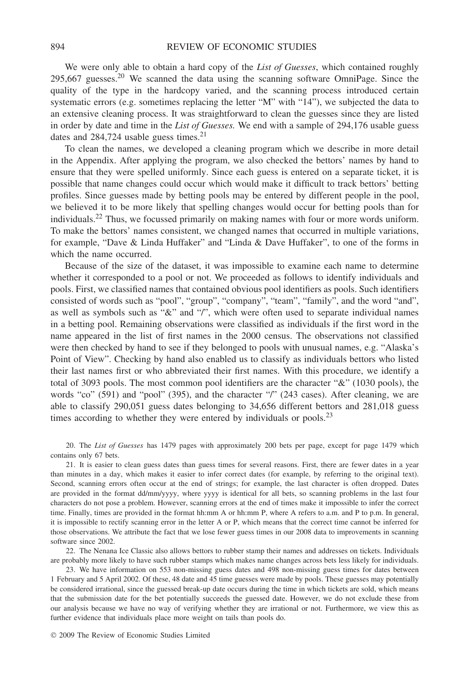We were only able to obtain a hard copy of the *List of Guesses*, which contained roughly 295,667 guesses.20 We scanned the data using the scanning software OmniPage. Since the quality of the type in the hardcopy varied, and the scanning process introduced certain systematic errors (e.g. sometimes replacing the letter "M" with "14"), we subjected the data to an extensive cleaning process. It was straightforward to clean the guesses since they are listed in order by date and time in the *List of Guesses.* We end with a sample of 294,176 usable guess dates and  $284,724$  usable guess times.<sup>21</sup>

To clean the names, we developed a cleaning program which we describe in more detail in the Appendix. After applying the program, we also checked the bettors' names by hand to ensure that they were spelled uniformly. Since each guess is entered on a separate ticket, it is possible that name changes could occur which would make it difficult to track bettors' betting profiles. Since guesses made by betting pools may be entered by different people in the pool, we believed it to be more likely that spelling changes would occur for betting pools than for individuals.22 Thus, we focussed primarily on making names with four or more words uniform. To make the bettors' names consistent, we changed names that occurred in multiple variations, for example, "Dave & Linda Huffaker" and "Linda & Dave Huffaker", to one of the forms in which the name occurred.

Because of the size of the dataset, it was impossible to examine each name to determine whether it corresponded to a pool or not. We proceeded as follows to identify individuals and pools. First, we classified names that contained obvious pool identifiers as pools. Such identifiers consisted of words such as "pool", "group", "company", "team", "family", and the word "and", as well as symbols such as "&" and "/", which were often used to separate individual names in a betting pool. Remaining observations were classified as individuals if the first word in the name appeared in the list of first names in the 2000 census. The observations not classified were then checked by hand to see if they belonged to pools with unusual names, e.g. "Alaska's Point of View". Checking by hand also enabled us to classify as individuals bettors who listed their last names first or who abbreviated their first names. With this procedure, we identify a total of 3093 pools. The most common pool identifiers are the character "&" (1030 pools), the words "co" (591) and "pool" (395), and the character "/" (243 cases). After cleaning, we are able to classify 290,051 guess dates belonging to 34,656 different bettors and 281,018 guess times according to whether they were entered by individuals or pools.<sup>23</sup>

20. The *List of Guesses* has 1479 pages with approximately 200 bets per page, except for page 1479 which contains only 67 bets.

21. It is easier to clean guess dates than guess times for several reasons. First, there are fewer dates in a year than minutes in a day, which makes it easier to infer correct dates (for example, by referring to the original text). Second, scanning errors often occur at the end of strings; for example, the last character is often dropped. Dates are provided in the format dd/mm/yyyy, where yyyy is identical for all bets, so scanning problems in the last four characters do not pose a problem. However, scanning errors at the end of times make it impossible to infer the correct time. Finally, times are provided in the format hh:mm A or hh:mm P, where A refers to a.m. and P to p.m. In general, it is impossible to rectify scanning error in the letter A or P, which means that the correct time cannot be inferred for those observations. We attribute the fact that we lose fewer guess times in our 2008 data to improvements in scanning software since 2002.

22. The Nenana Ice Classic also allows bettors to rubber stamp their names and addresses on tickets. Individuals are probably more likely to have such rubber stamps which makes name changes across bets less likely for individuals.

23. We have information on 553 non-missing guess dates and 498 non-missing guess times for dates between 1 February and 5 April 2002. Of these, 48 date and 45 time guesses were made by pools. These guesses may potentially be considered irrational, since the guessed break-up date occurs during the time in which tickets are sold, which means that the submission date for the bet potentially succeeds the guessed date. However, we do not exclude these from our analysis because we have no way of verifying whether they are irrational or not. Furthermore, we view this as further evidence that individuals place more weight on tails than pools do.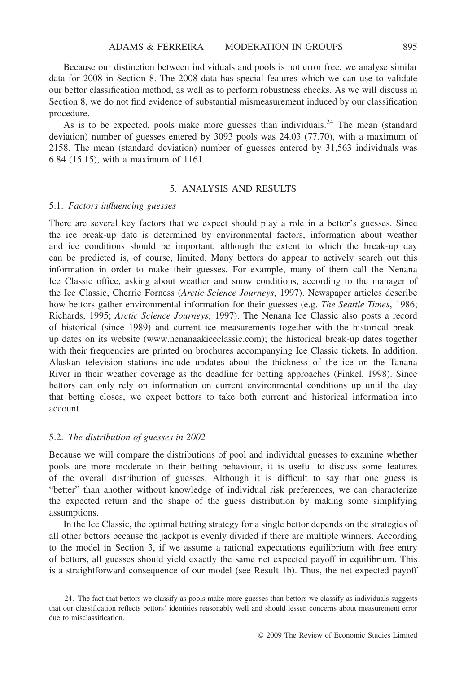Because our distinction between individuals and pools is not error free, we analyse similar data for 2008 in Section 8. The 2008 data has special features which we can use to validate our bettor classification method, as well as to perform robustness checks. As we will discuss in Section 8, we do not find evidence of substantial mismeasurement induced by our classification procedure.

As is to be expected, pools make more guesses than individuals.<sup>24</sup> The mean (standard deviation) number of guesses entered by 3093 pools was 24.03 (77.70), with a maximum of 2158. The mean (standard deviation) number of guesses entered by 31,563 individuals was 6.84 (15.15), with a maximum of 1161.

## 5. ANALYSIS AND RESULTS

## 5.1. *Factors influencing guesses*

There are several key factors that we expect should play a role in a bettor's guesses. Since the ice break-up date is determined by environmental factors, information about weather and ice conditions should be important, although the extent to which the break-up day can be predicted is, of course, limited. Many bettors do appear to actively search out this information in order to make their guesses. For example, many of them call the Nenana Ice Classic office, asking about weather and snow conditions, according to the manager of the Ice Classic, Cherrie Forness (*Arctic Science Journeys*, 1997). Newspaper articles describe how bettors gather environmental information for their guesses (e.g. *The Seattle Times*, 1986; Richards, 1995; *Arctic Science Journeys*, 1997). The Nenana Ice Classic also posts a record of historical (since 1989) and current ice measurements together with the historical breakup dates on its website (www.nenanaakiceclassic.com); the historical break-up dates together with their frequencies are printed on brochures accompanying Ice Classic tickets. In addition, Alaskan television stations include updates about the thickness of the ice on the Tanana River in their weather coverage as the deadline for betting approaches (Finkel, 1998). Since bettors can only rely on information on current environmental conditions up until the day that betting closes, we expect bettors to take both current and historical information into account.

## 5.2. *The distribution of guesses in 2002*

Because we will compare the distributions of pool and individual guesses to examine whether pools are more moderate in their betting behaviour, it is useful to discuss some features of the overall distribution of guesses. Although it is difficult to say that one guess is "better" than another without knowledge of individual risk preferences, we can characterize the expected return and the shape of the guess distribution by making some simplifying assumptions.

In the Ice Classic, the optimal betting strategy for a single bettor depends on the strategies of all other bettors because the jackpot is evenly divided if there are multiple winners. According to the model in Section 3, if we assume a rational expectations equilibrium with free entry of bettors, all guesses should yield exactly the same net expected payoff in equilibrium. This is a straightforward consequence of our model (see Result 1b). Thus, the net expected payoff

<sup>24.</sup> The fact that bettors we classify as pools make more guesses than bettors we classify as individuals suggests that our classification reflects bettors' identities reasonably well and should lessen concerns about measurement error due to misclassification.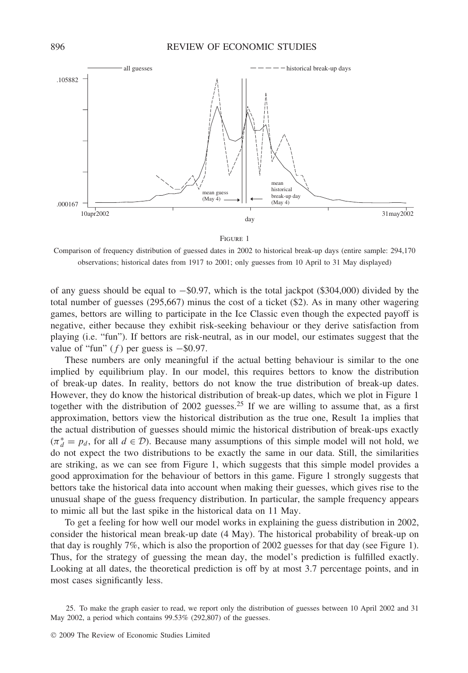

#### Figure 1

Comparison of frequency distribution of guessed dates in 2002 to historical break-up days (entire sample: 294,170 observations; historical dates from 1917 to 2001; only guesses from 10 April to 31 May displayed)

of any guess should be equal to −\$0*.*97, which is the total jackpot (\$304,000) divided by the total number of guesses (295,667) minus the cost of a ticket (\$2). As in many other wagering games, bettors are willing to participate in the Ice Classic even though the expected payoff is negative, either because they exhibit risk-seeking behaviour or they derive satisfaction from playing (i.e. "fun"). If bettors are risk-neutral, as in our model, our estimates suggest that the value of "fun" (*f* ) per guess is −\$0*.*97.

These numbers are only meaningful if the actual betting behaviour is similar to the one implied by equilibrium play. In our model, this requires bettors to know the distribution of break-up dates. In reality, bettors do not know the true distribution of break-up dates. However, they do know the historical distribution of break-up dates, which we plot in Figure 1 together with the distribution of 2002 guesses.<sup>25</sup> If we are willing to assume that, as a first approximation, bettors view the historical distribution as the true one, Result 1a implies that the actual distribution of guesses should mimic the historical distribution of break-ups exactly  $(\pi_d^* = p_d)$ , for all  $d \in \mathcal{D}$ ). Because many assumptions of this simple model will not hold, we do not expect the two distributions to be exactly the same in our data. Still, the similarities are striking, as we can see from Figure 1, which suggests that this simple model provides a good approximation for the behaviour of bettors in this game. Figure 1 strongly suggests that bettors take the historical data into account when making their guesses, which gives rise to the unusual shape of the guess frequency distribution. In particular, the sample frequency appears to mimic all but the last spike in the historical data on 11 May.

To get a feeling for how well our model works in explaining the guess distribution in 2002, consider the historical mean break-up date (4 May). The historical probability of break-up on that day is roughly 7%, which is also the proportion of 2002 guesses for that day (see Figure 1). Thus, for the strategy of guessing the mean day, the model's prediction is fulfilled exactly. Looking at all dates, the theoretical prediction is off by at most 3.7 percentage points, and in most cases significantly less.

<sup>25.</sup> To make the graph easier to read, we report only the distribution of guesses between 10 April 2002 and 31 May 2002, a period which contains 99.53% (292,807) of the guesses.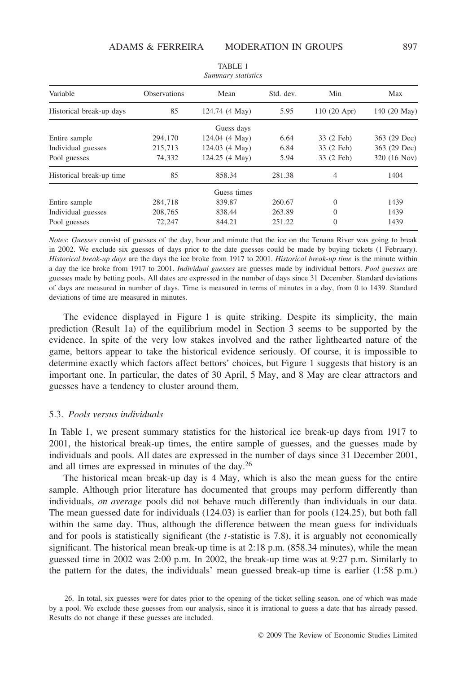| Variable                 | <b>Observations</b> | Mean           | Std. dev. | Min           | Max          |
|--------------------------|---------------------|----------------|-----------|---------------|--------------|
| Historical break-up days | 85                  | 124.74 (4 May) | 5.95      | $110(20$ Apr) | 140 (20 May) |
|                          |                     | Guess days     |           |               |              |
| Entire sample            | 294,170             | 124.04 (4 May) | 6.64      | 33 (2 Feb)    | 363 (29 Dec) |
| Individual guesses       | 215,713             | 124.03 (4 May) | 6.84      | 33 (2 Feb)    | 363 (29 Dec) |
| Pool guesses             | 74,332              | 124.25 (4 May) | 5.94      | 33 (2 Feb)    | 320 (16 Nov) |
| Historical break-up time | 85                  | 858.34         | 281.38    | 4             | 1404         |
|                          |                     | Guess times    |           |               |              |
| Entire sample            | 284,718             | 839.87         | 260.67    | $\theta$      | 1439         |
| Individual guesses       | 208,765             | 838.44         | 263.89    | $\Omega$      | 1439         |
| Pool guesses             | 72,247              | 844.21         | 251.22    | $\theta$      | 1439         |

TABLE 1 *Summary statistics*

*Notes*: *Guesses* consist of guesses of the day, hour and minute that the ice on the Tenana River was going to break in 2002. We exclude six guesses of days prior to the date guesses could be made by buying tickets (1 February). *Historical break-up days* are the days the ice broke from 1917 to 2001. *Historical break-up time* is the minute within a day the ice broke from 1917 to 2001. *Individual guesses* are guesses made by individual bettors. *Pool guesses* are guesses made by betting pools. All dates are expressed in the number of days since 31 December. Standard deviations of days are measured in number of days. Time is measured in terms of minutes in a day, from 0 to 1439. Standard deviations of time are measured in minutes.

The evidence displayed in Figure 1 is quite striking. Despite its simplicity, the main prediction (Result 1a) of the equilibrium model in Section 3 seems to be supported by the evidence. In spite of the very low stakes involved and the rather lighthearted nature of the game, bettors appear to take the historical evidence seriously. Of course, it is impossible to determine exactly which factors affect bettors' choices, but Figure 1 suggests that history is an important one. In particular, the dates of 30 April, 5 May, and 8 May are clear attractors and guesses have a tendency to cluster around them.

## 5.3. *Pools versus individuals*

In Table 1, we present summary statistics for the historical ice break-up days from 1917 to 2001, the historical break-up times, the entire sample of guesses, and the guesses made by individuals and pools. All dates are expressed in the number of days since 31 December 2001, and all times are expressed in minutes of the day.<sup>26</sup>

The historical mean break-up day is 4 May, which is also the mean guess for the entire sample. Although prior literature has documented that groups may perform differently than individuals, *on average* pools did not behave much differently than individuals in our data. The mean guessed date for individuals (124.03) is earlier than for pools (124.25), but both fall within the same day. Thus, although the difference between the mean guess for individuals and for pools is statistically significant (the *t*-statistic is 7.8), it is arguably not economically significant. The historical mean break-up time is at 2:18 p.m. (858.34 minutes), while the mean guessed time in 2002 was 2:00 p.m. In 2002, the break-up time was at 9:27 p.m. Similarly to the pattern for the dates, the individuals' mean guessed break-up time is earlier (1:58 p.m.)

26. In total, six guesses were for dates prior to the opening of the ticket selling season, one of which was made by a pool. We exclude these guesses from our analysis, since it is irrational to guess a date that has already passed. Results do not change if these guesses are included.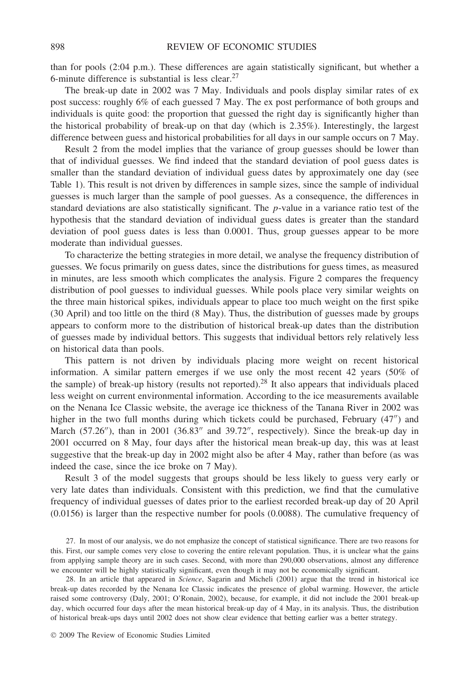than for pools (2:04 p.m.). These differences are again statistically significant, but whether a 6-minute difference is substantial is less clear.27

The break-up date in 2002 was 7 May. Individuals and pools display similar rates of ex post success: roughly 6% of each guessed 7 May. The ex post performance of both groups and individuals is quite good: the proportion that guessed the right day is significantly higher than the historical probability of break-up on that day (which is 2.35%). Interestingly, the largest difference between guess and historical probabilities for all days in our sample occurs on 7 May.

Result 2 from the model implies that the variance of group guesses should be lower than that of individual guesses. We find indeed that the standard deviation of pool guess dates is smaller than the standard deviation of individual guess dates by approximately one day (see Table 1). This result is not driven by differences in sample sizes, since the sample of individual guesses is much larger than the sample of pool guesses. As a consequence, the differences in standard deviations are also statistically significant. The *p*-value in a variance ratio test of the hypothesis that the standard deviation of individual guess dates is greater than the standard deviation of pool guess dates is less than 0.0001. Thus, group guesses appear to be more moderate than individual guesses.

To characterize the betting strategies in more detail, we analyse the frequency distribution of guesses. We focus primarily on guess dates, since the distributions for guess times, as measured in minutes, are less smooth which complicates the analysis. Figure 2 compares the frequency distribution of pool guesses to individual guesses. While pools place very similar weights on the three main historical spikes, individuals appear to place too much weight on the first spike (30 April) and too little on the third (8 May). Thus, the distribution of guesses made by groups appears to conform more to the distribution of historical break-up dates than the distribution of guesses made by individual bettors. This suggests that individual bettors rely relatively less on historical data than pools.

This pattern is not driven by individuals placing more weight on recent historical information. A similar pattern emerges if we use only the most recent 42 years (50% of the sample) of break-up history (results not reported).28 It also appears that individuals placed less weight on current environmental information. According to the ice measurements available on the Nenana Ice Classic website, the average ice thickness of the Tanana River in 2002 was higher in the two full months during which tickets could be purchased, February (47") and March (57.26"), than in 2001 (36.83" and 39.72", respectively). Since the break-up day in 2001 occurred on 8 May, four days after the historical mean break-up day, this was at least suggestive that the break-up day in 2002 might also be after 4 May, rather than before (as was indeed the case, since the ice broke on 7 May).

Result 3 of the model suggests that groups should be less likely to guess very early or very late dates than individuals. Consistent with this prediction, we find that the cumulative frequency of individual guesses of dates prior to the earliest recorded break-up day of 20 April (0.0156) is larger than the respective number for pools (0.0088). The cumulative frequency of

<sup>27.</sup> In most of our analysis, we do not emphasize the concept of statistical significance. There are two reasons for this. First, our sample comes very close to covering the entire relevant population. Thus, it is unclear what the gains from applying sample theory are in such cases. Second, with more than 290,000 observations, almost any difference we encounter will be highly statistically significant, even though it may not be economically significant.

<sup>28.</sup> In an article that appeared in *Science*, Sagarin and Micheli (2001) argue that the trend in historical ice break-up dates recorded by the Nenana Ice Classic indicates the presence of global warming. However, the article raised some controversy (Daly, 2001; O'Ronain, 2002), because, for example, it did not include the 2001 break-up day, which occurred four days after the mean historical break-up day of 4 May, in its analysis. Thus, the distribution of historical break-ups days until 2002 does not show clear evidence that betting earlier was a better strategy.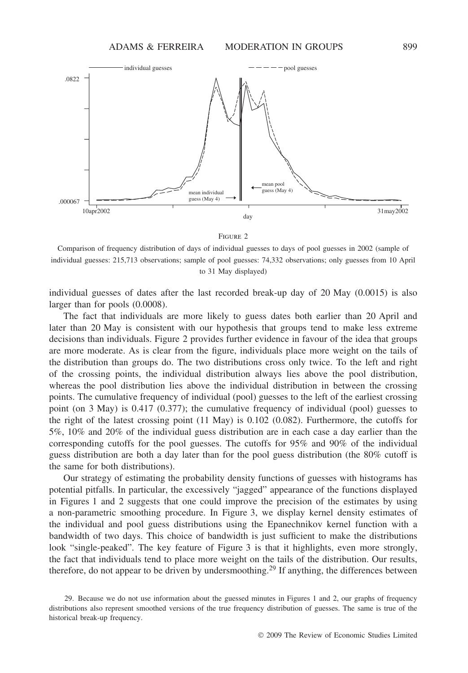

#### Figure 2

Comparison of frequency distribution of days of individual guesses to days of pool guesses in 2002 (sample of individual guesses: 215,713 observations; sample of pool guesses: 74,332 observations; only guesses from 10 April to 31 May displayed)

individual guesses of dates after the last recorded break-up day of 20 May (0.0015) is also larger than for pools (0.0008).

The fact that individuals are more likely to guess dates both earlier than 20 April and later than 20 May is consistent with our hypothesis that groups tend to make less extreme decisions than individuals. Figure 2 provides further evidence in favour of the idea that groups are more moderate. As is clear from the figure, individuals place more weight on the tails of the distribution than groups do. The two distributions cross only twice. To the left and right of the crossing points, the individual distribution always lies above the pool distribution, whereas the pool distribution lies above the individual distribution in between the crossing points. The cumulative frequency of individual (pool) guesses to the left of the earliest crossing point (on 3 May) is 0.417 (0.377); the cumulative frequency of individual (pool) guesses to the right of the latest crossing point (11 May) is 0.102 (0.082). Furthermore, the cutoffs for 5%, 10% and 20% of the individual guess distribution are in each case a day earlier than the corresponding cutoffs for the pool guesses. The cutoffs for 95% and 90% of the individual guess distribution are both a day later than for the pool guess distribution (the 80% cutoff is the same for both distributions).

Our strategy of estimating the probability density functions of guesses with histograms has potential pitfalls. In particular, the excessively "jagged" appearance of the functions displayed in Figures 1 and 2 suggests that one could improve the precision of the estimates by using a non-parametric smoothing procedure. In Figure 3, we display kernel density estimates of the individual and pool guess distributions using the Epanechnikov kernel function with a bandwidth of two days. This choice of bandwidth is just sufficient to make the distributions look "single-peaked". The key feature of Figure 3 is that it highlights, even more strongly, the fact that individuals tend to place more weight on the tails of the distribution. Our results, therefore, do not appear to be driven by undersmoothing.<sup>29</sup> If anything, the differences between

<sup>29.</sup> Because we do not use information about the guessed minutes in Figures 1 and 2, our graphs of frequency distributions also represent smoothed versions of the true frequency distribution of guesses. The same is true of the historical break-up frequency.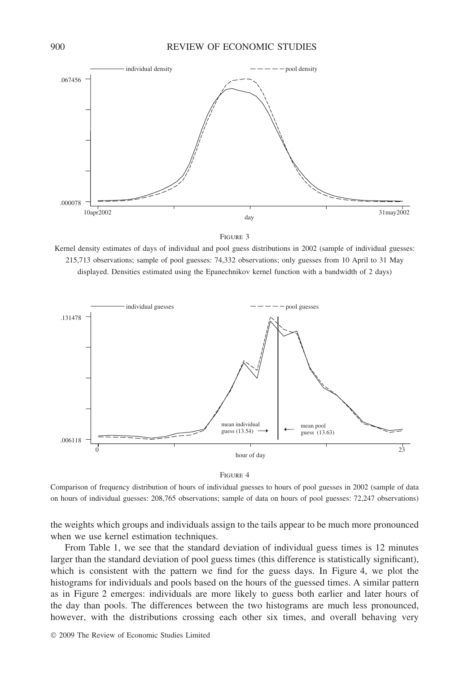## 900 REVIEW OF ECONOMIC STUDIES





Kernel density estimates of days of individual and pool guess distributions in 2002 (sample of individual guesses: 215,713 observations; sample of pool guesses: 74,332 observations; only guesses from 10 April to 31 May displayed. Densities estimated using the Epanechnikov kernel function with a bandwidth of 2 days)



Figure 4

Comparison of frequency distribution of hours of individual guesses to hours of pool guesses in 2002 (sample of data on hours of individual guesses: 208,765 observations; sample of data on hours of pool guesses: 72,247 observations)

the weights which groups and individuals assign to the tails appear to be much more pronounced when we use kernel estimation techniques.

From Table 1, we see that the standard deviation of individual guess times is 12 minutes larger than the standard deviation of pool guess times (this difference is statistically significant), which is consistent with the pattern we find for the guess days. In Figure 4, we plot the histograms for individuals and pools based on the hours of the guessed times. A similar pattern as in Figure 2 emerges: individuals are more likely to guess both earlier and later hours of the day than pools. The differences between the two histograms are much less pronounced, however, with the distributions crossing each other six times, and overall behaving very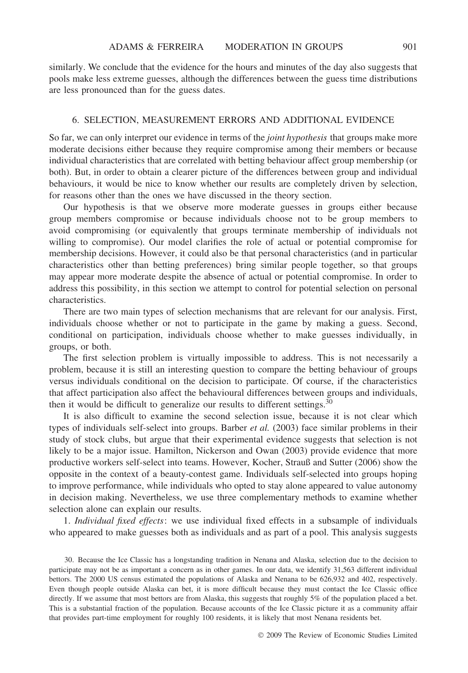similarly. We conclude that the evidence for the hours and minutes of the day also suggests that pools make less extreme guesses, although the differences between the guess time distributions are less pronounced than for the guess dates.

## 6. SELECTION, MEASUREMENT ERRORS AND ADDITIONAL EVIDENCE

So far, we can only interpret our evidence in terms of the *joint hypothesis* that groups make more moderate decisions either because they require compromise among their members or because individual characteristics that are correlated with betting behaviour affect group membership (or both). But, in order to obtain a clearer picture of the differences between group and individual behaviours, it would be nice to know whether our results are completely driven by selection, for reasons other than the ones we have discussed in the theory section.

Our hypothesis is that we observe more moderate guesses in groups either because group members compromise or because individuals choose not to be group members to avoid compromising (or equivalently that groups terminate membership of individuals not willing to compromise). Our model clarifies the role of actual or potential compromise for membership decisions. However, it could also be that personal characteristics (and in particular characteristics other than betting preferences) bring similar people together, so that groups may appear more moderate despite the absence of actual or potential compromise. In order to address this possibility, in this section we attempt to control for potential selection on personal characteristics.

There are two main types of selection mechanisms that are relevant for our analysis. First, individuals choose whether or not to participate in the game by making a guess. Second, conditional on participation, individuals choose whether to make guesses individually, in groups, or both.

The first selection problem is virtually impossible to address. This is not necessarily a problem, because it is still an interesting question to compare the betting behaviour of groups versus individuals conditional on the decision to participate. Of course, if the characteristics that affect participation also affect the behavioural differences between groups and individuals, then it would be difficult to generalize our results to different settings.<sup>30</sup>

It is also difficult to examine the second selection issue, because it is not clear which types of individuals self-select into groups. Barber *et al.* (2003) face similar problems in their study of stock clubs, but argue that their experimental evidence suggests that selection is not likely to be a major issue. Hamilton, Nickerson and Owan (2003) provide evidence that more productive workers self-select into teams. However, Kocher, Strauß and Sutter (2006) show the opposite in the context of a beauty-contest game. Individuals self-selected into groups hoping to improve performance, while individuals who opted to stay alone appeared to value autonomy in decision making. Nevertheless, we use three complementary methods to examine whether selection alone can explain our results.

1. *Individual fixed effects*: we use individual fixed effects in a subsample of individuals who appeared to make guesses both as individuals and as part of a pool. This analysis suggests

30. Because the Ice Classic has a longstanding tradition in Nenana and Alaska, selection due to the decision to participate may not be as important a concern as in other games. In our data, we identify 31,563 different individual bettors. The 2000 US census estimated the populations of Alaska and Nenana to be 626,932 and 402, respectively. Even though people outside Alaska can bet, it is more difficult because they must contact the Ice Classic office directly. If we assume that most bettors are from Alaska, this suggests that roughly 5% of the population placed a bet. This is a substantial fraction of the population. Because accounts of the Ice Classic picture it as a community affair that provides part-time employment for roughly 100 residents, it is likely that most Nenana residents bet.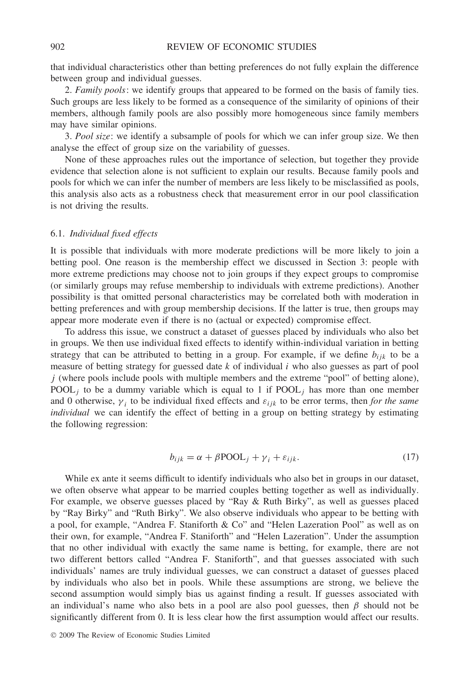that individual characteristics other than betting preferences do not fully explain the difference between group and individual guesses.

2. *Family pools*: we identify groups that appeared to be formed on the basis of family ties. Such groups are less likely to be formed as a consequence of the similarity of opinions of their members, although family pools are also possibly more homogeneous since family members may have similar opinions.

3. *Pool size*: we identify a subsample of pools for which we can infer group size. We then analyse the effect of group size on the variability of guesses.

None of these approaches rules out the importance of selection, but together they provide evidence that selection alone is not sufficient to explain our results. Because family pools and pools for which we can infer the number of members are less likely to be misclassified as pools, this analysis also acts as a robustness check that measurement error in our pool classification is not driving the results.

## 6.1. *Individual fixed effects*

It is possible that individuals with more moderate predictions will be more likely to join a betting pool. One reason is the membership effect we discussed in Section 3: people with more extreme predictions may choose not to join groups if they expect groups to compromise (or similarly groups may refuse membership to individuals with extreme predictions). Another possibility is that omitted personal characteristics may be correlated both with moderation in betting preferences and with group membership decisions. If the latter is true, then groups may appear more moderate even if there is no (actual or expected) compromise effect.

To address this issue, we construct a dataset of guesses placed by individuals who also bet in groups. We then use individual fixed effects to identify within-individual variation in betting strategy that can be attributed to betting in a group. For example, if we define  $b_{ijk}$  to be a measure of betting strategy for guessed date *k* of individual *i* who also guesses as part of pool *j* (where pools include pools with multiple members and the extreme "pool" of betting alone),  $POOL<sub>j</sub>$  to be a dummy variable which is equal to 1 if  $POOL<sub>j</sub>$  has more than one member and 0 otherwise,  $\gamma_i$  to be individual fixed effects and  $\varepsilon_{ijk}$  to be error terms, then *for the same individual* we can identify the effect of betting in a group on betting strategy by estimating the following regression:

$$
b_{ijk} = \alpha + \beta \text{POOL}_j + \gamma_i + \varepsilon_{ijk}.
$$
 (17)

While ex ante it seems difficult to identify individuals who also bet in groups in our dataset, we often observe what appear to be married couples betting together as well as individually. For example, we observe guesses placed by "Ray & Ruth Birky", as well as guesses placed by "Ray Birky" and "Ruth Birky". We also observe individuals who appear to be betting with a pool, for example, "Andrea F. Staniforth & Co" and "Helen Lazeration Pool" as well as on their own, for example, "Andrea F. Staniforth" and "Helen Lazeration". Under the assumption that no other individual with exactly the same name is betting, for example, there are not two different bettors called "Andrea F. Staniforth", and that guesses associated with such individuals' names are truly individual guesses, we can construct a dataset of guesses placed by individuals who also bet in pools. While these assumptions are strong, we believe the second assumption would simply bias us against finding a result. If guesses associated with an individual's name who also bets in a pool are also pool guesses, then  $\beta$  should not be significantly different from 0. It is less clear how the first assumption would affect our results.

© 2009 The Review of Economic Studies Limited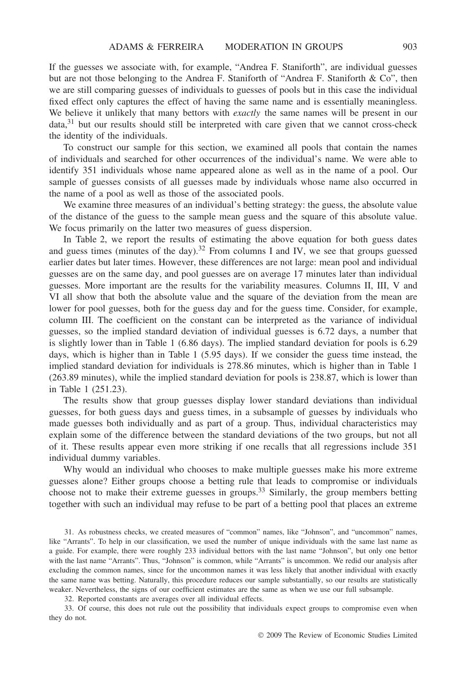If the guesses we associate with, for example, "Andrea F. Staniforth", are individual guesses but are not those belonging to the Andrea F. Staniforth of "Andrea F. Staniforth & Co", then we are still comparing guesses of individuals to guesses of pools but in this case the individual fixed effect only captures the effect of having the same name and is essentially meaningless. We believe it unlikely that many bettors with *exactly* the same names will be present in our  $data$ <sup>31</sup> but our results should still be interpreted with care given that we cannot cross-check the identity of the individuals.

To construct our sample for this section, we examined all pools that contain the names of individuals and searched for other occurrences of the individual's name. We were able to identify 351 individuals whose name appeared alone as well as in the name of a pool. Our sample of guesses consists of all guesses made by individuals whose name also occurred in the name of a pool as well as those of the associated pools.

We examine three measures of an individual's betting strategy: the guess, the absolute value of the distance of the guess to the sample mean guess and the square of this absolute value. We focus primarily on the latter two measures of guess dispersion.

In Table 2, we report the results of estimating the above equation for both guess dates and guess times (minutes of the day).<sup>32</sup> From columns I and IV, we see that groups guessed earlier dates but later times. However, these differences are not large: mean pool and individual guesses are on the same day, and pool guesses are on average 17 minutes later than individual guesses. More important are the results for the variability measures. Columns II, III, V and VI all show that both the absolute value and the square of the deviation from the mean are lower for pool guesses, both for the guess day and for the guess time. Consider, for example, column III. The coefficient on the constant can be interpreted as the variance of individual guesses, so the implied standard deviation of individual guesses is 6.72 days, a number that is slightly lower than in Table 1 (6.86 days). The implied standard deviation for pools is 6.29 days, which is higher than in Table 1 (5.95 days). If we consider the guess time instead, the implied standard deviation for individuals is 278.86 minutes, which is higher than in Table 1 (263.89 minutes), while the implied standard deviation for pools is 238.87, which is lower than in Table 1 (251.23).

The results show that group guesses display lower standard deviations than individual guesses, for both guess days and guess times, in a subsample of guesses by individuals who made guesses both individually and as part of a group. Thus, individual characteristics may explain some of the difference between the standard deviations of the two groups, but not all of it. These results appear even more striking if one recalls that all regressions include 351 individual dummy variables.

Why would an individual who chooses to make multiple guesses make his more extreme guesses alone? Either groups choose a betting rule that leads to compromise or individuals choose not to make their extreme guesses in groups.<sup>33</sup> Similarly, the group members betting together with such an individual may refuse to be part of a betting pool that places an extreme

31. As robustness checks, we created measures of "common" names, like "Johnson", and "uncommon" names, like "Arrants". To help in our classification, we used the number of unique individuals with the same last name as a guide. For example, there were roughly 233 individual bettors with the last name "Johnson", but only one bettor with the last name "Arrants". Thus, "Johnson" is common, while "Arrants" is uncommon. We redid our analysis after excluding the common names, since for the uncommon names it was less likely that another individual with exactly the same name was betting. Naturally, this procedure reduces our sample substantially, so our results are statistically weaker. Nevertheless, the signs of our coefficient estimates are the same as when we use our full subsample.

32. Reported constants are averages over all individual effects.

33. Of course, this does not rule out the possibility that individuals expect groups to compromise even when they do not.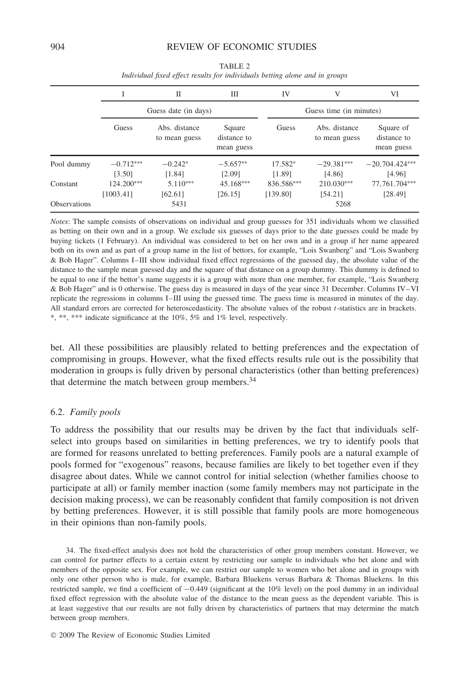## 904 REVIEW OF ECONOMIC STUDIES

|                     | I                       | П                              | Ш                                   | IV                     | V                              | VI                                     |
|---------------------|-------------------------|--------------------------------|-------------------------------------|------------------------|--------------------------------|----------------------------------------|
|                     |                         | Guess date (in days)           |                                     |                        | Guess time (in minutes)        |                                        |
|                     | Guess                   | Abs. distance<br>to mean guess | Square<br>distance to<br>mean guess | Guess                  | Abs. distance<br>to mean guess | Square of<br>distance to<br>mean guess |
| Pool dummy          | $-0.712***$<br>[3.50]   | $-0.242*$<br>[1.84]            | $-5.657**$<br>[2.09]                | 17.582*<br>[1.89]      | $-29.381***$<br>[4.86]         | $-20.704.424***$<br>[4.96]             |
| Constant            | 124.200***<br>[1003.41] | $5.110***$<br>[62.61]          | 45.168***<br>[26.15]                | 836.586***<br>[139.80] | 210.030***<br>[54.21]          | 77.761.704***<br>[28.49]               |
| <b>Observations</b> |                         | 5431                           |                                     |                        | 5268                           |                                        |

TABLE 2 *Individual fixed effect results for individuals betting alone and in groups*

*Notes*: The sample consists of observations on individual and group guesses for 351 individuals whom we classified as betting on their own and in a group. We exclude six guesses of days prior to the date guesses could be made by buying tickets (1 February). An individual was considered to bet on her own and in a group if her name appeared both on its own and as part of a group name in the list of bettors, for example, "Lois Swanberg" and "Lois Swanberg & Bob Hager". Columns I–III show individual fixed effect regressions of the guessed day, the absolute value of the distance to the sample mean guessed day and the square of that distance on a group dummy. This dummy is defined to be equal to one if the bettor's name suggests it is a group with more than one member, for example, "Lois Swanberg & Bob Hager" and is 0 otherwise. The guess day is measured in days of the year since 31 December. Columns IV–VI replicate the regressions in columns I–III using the guessed time. The guess time is measured in minutes of the day. All standard errors are corrected for heteroscedasticity. The absolute values of the robust *t*-statistics are in brackets. \*, \*\*, \*\*\* indicate significance at the 10%, 5% and 1% level, respectively.

bet. All these possibilities are plausibly related to betting preferences and the expectation of compromising in groups. However, what the fixed effects results rule out is the possibility that moderation in groups is fully driven by personal characteristics (other than betting preferences) that determine the match between group members. $34$ 

## 6.2. *Family pools*

To address the possibility that our results may be driven by the fact that individuals selfselect into groups based on similarities in betting preferences, we try to identify pools that are formed for reasons unrelated to betting preferences. Family pools are a natural example of pools formed for "exogenous" reasons, because families are likely to bet together even if they disagree about dates. While we cannot control for initial selection (whether families choose to participate at all) or family member inaction (some family members may not participate in the decision making process), we can be reasonably confident that family composition is not driven by betting preferences. However, it is still possible that family pools are more homogeneous in their opinions than non-family pools.

34. The fixed-effect analysis does not hold the characteristics of other group members constant. However, we can control for partner effects to a certain extent by restricting our sample to individuals who bet alone and with members of the opposite sex. For example, we can restrict our sample to women who bet alone and in groups with only one other person who is male, for example, Barbara Bluekens versus Barbara & Thomas Bluekens. In this restricted sample, we find a coefficient of −0*.*449 (significant at the 10% level) on the pool dummy in an individual fixed effect regression with the absolute value of the distance to the mean guess as the dependent variable. This is at least suggestive that our results are not fully driven by characteristics of partners that may determine the match between group members.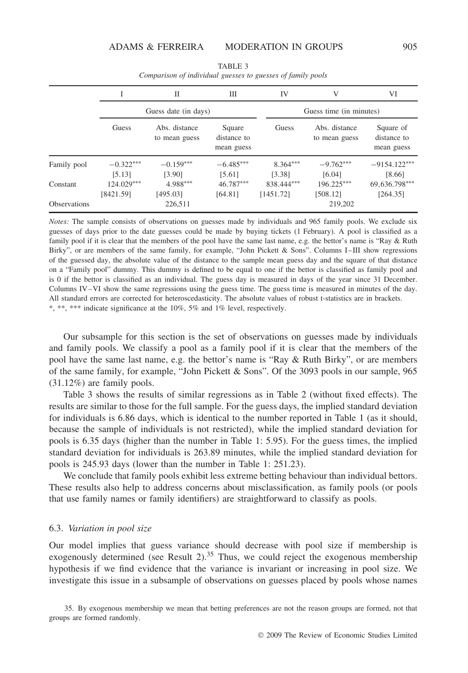|                     |                         | П                              | Ш                                   | IV                      | V                              | VI                                     |
|---------------------|-------------------------|--------------------------------|-------------------------------------|-------------------------|--------------------------------|----------------------------------------|
|                     |                         | Guess date (in days)           |                                     |                         | Guess time (in minutes)        |                                        |
|                     | Guess                   | Abs. distance<br>to mean guess | Square<br>distance to<br>mean guess | Guess                   | Abs. distance<br>to mean guess | Square of<br>distance to<br>mean guess |
| Family pool         | $-0.322***$<br>[5.13]   | $-0.159***$<br>[3.90]          | $-6.485***$<br>[5.61]               | $8.364***$<br>[3.38]    | $-9.762***$<br>[6.04]          | $-9154.122***$<br>[8.66]               |
| Constant            | 124.029***<br>[8421.59] | 4.988***<br>[495.03]           | 46.787***<br>[64.81]                | 838.444***<br>[1451.72] | 196.225***<br>[508.12]         | 69,636.798***<br>[264.35]              |
| <b>Observations</b> |                         | 226.511                        |                                     |                         | 219,202                        |                                        |

TABLE 3 *Comparison of individual guesses to guesses of family pools*

*Notes:* The sample consists of observations on guesses made by individuals and 965 family pools. We exclude six guesses of days prior to the date guesses could be made by buying tickets (1 February). A pool is classified as a family pool if it is clear that the members of the pool have the same last name, e.g. the bettor's name is "Ray & Ruth" Birky", or are members of the same family, for example, "John Pickett & Sons". Columns I–III show regressions of the guessed day, the absolute value of the distance to the sample mean guess day and the square of that distance on a "Family pool" dummy. This dummy is defined to be equal to one if the bettor is classified as family pool and is 0 if the bettor is classified as an individual. The guess day is measured in days of the year since 31 December. Columns IV–VI show the same regressions using the guess time. The guess time is measured in minutes of the day. All standard errors are corrected for heteroscedasticity. The absolute values of robust t-statistics are in brackets. \*, \*\*, \*\*\* indicate significance at the 10%, 5% and 1% level, respectively.

Our subsample for this section is the set of observations on guesses made by individuals and family pools. We classify a pool as a family pool if it is clear that the members of the pool have the same last name, e.g. the bettor's name is "Ray & Ruth Birky", or are members of the same family, for example, "John Pickett & Sons". Of the 3093 pools in our sample, 965 (31.12%) are family pools.

Table 3 shows the results of similar regressions as in Table 2 (without fixed effects). The results are similar to those for the full sample. For the guess days, the implied standard deviation for individuals is 6.86 days, which is identical to the number reported in Table 1 (as it should, because the sample of individuals is not restricted), while the implied standard deviation for pools is 6.35 days (higher than the number in Table 1: 5.95). For the guess times, the implied standard deviation for individuals is 263.89 minutes, while the implied standard deviation for pools is 245.93 days (lower than the number in Table 1: 251.23).

We conclude that family pools exhibit less extreme betting behaviour than individual bettors. These results also help to address concerns about misclassification, as family pools (or pools that use family names or family identifiers) are straightforward to classify as pools.

## 6.3. *Variation in pool size*

Our model implies that guess variance should decrease with pool size if membership is exogenously determined (see Result 2).<sup>35</sup> Thus, we could reject the exogenous membership hypothesis if we find evidence that the variance is invariant or increasing in pool size. We investigate this issue in a subsample of observations on guesses placed by pools whose names

35. By exogenous membership we mean that betting preferences are not the reason groups are formed, not that groups are formed randomly.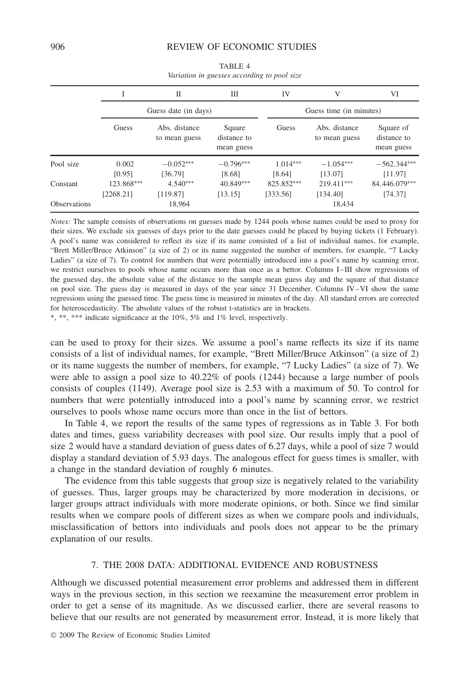|                     | I                       | П                              | Ш                                   | IV                     | V                              | VI                                     |
|---------------------|-------------------------|--------------------------------|-------------------------------------|------------------------|--------------------------------|----------------------------------------|
|                     |                         | Guess date (in days)           |                                     |                        | Guess time (in minutes)        |                                        |
|                     | Guess                   | Abs. distance<br>to mean guess | Square<br>distance to<br>mean guess | Guess                  | Abs. distance<br>to mean guess | Square of<br>distance to<br>mean guess |
| Pool size           | 0.002<br>[0.95]         | $-0.052***$<br>[36.79]         | $-0.796***$<br>[8.68]               | $1.014***$<br>[8.64]   | $-1.054***$<br>[13.07]         | $-562.344***$<br>[11.97]               |
| Constant            | 123.868***<br>[2268.21] | $4.540***$<br>[119.87]         | $40.849***$<br>[13.15]              | 825.852***<br>[333.56] | 219.411***<br>[134.40]         | 84,446.079***<br>[74.37]               |
| <b>Observations</b> |                         | 18,964                         |                                     |                        | 18.434                         |                                        |

| TABLE 4 |  |  |                                             |  |  |  |  |
|---------|--|--|---------------------------------------------|--|--|--|--|
|         |  |  | Variation in guesses according to pool size |  |  |  |  |

*Notes:* The sample consists of observations on guesses made by 1244 pools whose names could be used to proxy for their sizes. We exclude six guesses of days prior to the date guesses could be placed by buying tickets (1 February). A pool's name was considered to reflect its size if its name consisted of a list of individual names, for example, "Brett Miller/Bruce Atkinson" (a size of 2) or its name suggested the number of members, for example, "7 Lucky Ladies" (a size of 7). To control for numbers that were potentially introduced into a pool's name by scanning error, we restrict ourselves to pools whose name occurs more than once as a bettor. Columns I–III show regressions of the guessed day, the absolute value of the distance to the sample mean guess day and the square of that distance on pool size. The guess day is measured in days of the year since 31 December. Columns IV–VI show the same regressions using the guessed time. The guess time is measured in minutes of the day. All standard errors are corrected for heteroscedasticity. The absolute values of the robust t-statistics are in brackets.

\*, \*\*, \*\*\* indicate significance at the 10%, 5% and 1% level, respectively.

can be used to proxy for their sizes. We assume a pool's name reflects its size if its name consists of a list of individual names, for example, "Brett Miller/Bruce Atkinson" (a size of 2) or its name suggests the number of members, for example, "7 Lucky Ladies" (a size of 7). We were able to assign a pool size to 40.22% of pools (1244) because a large number of pools consists of couples (1149). Average pool size is 2.53 with a maximum of 50. To control for numbers that were potentially introduced into a pool's name by scanning error, we restrict ourselves to pools whose name occurs more than once in the list of bettors.

In Table 4, we report the results of the same types of regressions as in Table 3. For both dates and times, guess variability decreases with pool size. Our results imply that a pool of size 2 would have a standard deviation of guess dates of 6.27 days, while a pool of size 7 would display a standard deviation of 5.93 days. The analogous effect for guess times is smaller, with a change in the standard deviation of roughly 6 minutes.

The evidence from this table suggests that group size is negatively related to the variability of guesses. Thus, larger groups may be characterized by more moderation in decisions, or larger groups attract individuals with more moderate opinions, or both. Since we find similar results when we compare pools of different sizes as when we compare pools and individuals, misclassification of bettors into individuals and pools does not appear to be the primary explanation of our results.

## 7. THE 2008 DATA: ADDITIONAL EVIDENCE AND ROBUSTNESS

Although we discussed potential measurement error problems and addressed them in different ways in the previous section, in this section we reexamine the measurement error problem in order to get a sense of its magnitude. As we discussed earlier, there are several reasons to believe that our results are not generated by measurement error. Instead, it is more likely that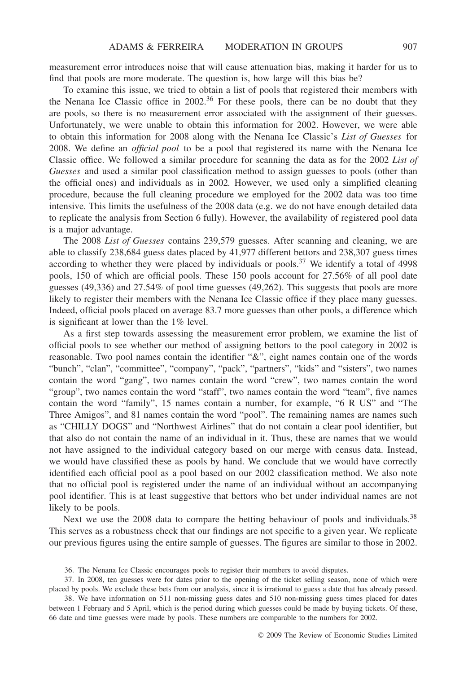measurement error introduces noise that will cause attenuation bias, making it harder for us to find that pools are more moderate. The question is, how large will this bias be?

To examine this issue, we tried to obtain a list of pools that registered their members with the Nenana Ice Classic office in 2002.36 For these pools, there can be no doubt that they are pools, so there is no measurement error associated with the assignment of their guesses. Unfortunately, we were unable to obtain this information for 2002. However, we were able to obtain this information for 2008 along with the Nenana Ice Classic's *List of Guesses* for 2008. We define an *official pool* to be a pool that registered its name with the Nenana Ice Classic office. We followed a similar procedure for scanning the data as for the 2002 *List of Guesses* and used a similar pool classification method to assign guesses to pools (other than the official ones) and individuals as in 2002*.* However, we used only a simplified cleaning procedure, because the full cleaning procedure we employed for the 2002 data was too time intensive. This limits the usefulness of the 2008 data (e.g. we do not have enough detailed data to replicate the analysis from Section 6 fully). However, the availability of registered pool data is a major advantage.

The 2008 *List of Guesses* contains 239,579 guesses. After scanning and cleaning, we are able to classify 238,684 guess dates placed by 41,977 different bettors and 238,307 guess times according to whether they were placed by individuals or pools.<sup>37</sup> We identify a total of 4998 pools, 150 of which are official pools. These 150 pools account for 27.56% of all pool date guesses (49,336) and 27.54% of pool time guesses (49,262). This suggests that pools are more likely to register their members with the Nenana Ice Classic office if they place many guesses. Indeed, official pools placed on average 83.7 more guesses than other pools, a difference which is significant at lower than the 1% level.

As a first step towards assessing the measurement error problem, we examine the list of official pools to see whether our method of assigning bettors to the pool category in 2002 is reasonable. Two pool names contain the identifier "&", eight names contain one of the words "bunch", "clan", "committee", "company", "pack", "partners", "kids" and "sisters", two names contain the word "gang", two names contain the word "crew", two names contain the word "group", two names contain the word "staff", two names contain the word "team", five names contain the word "family", 15 names contain a number, for example, "6 R US" and "The Three Amigos", and 81 names contain the word "pool". The remaining names are names such as "CHILLY DOGS" and "Northwest Airlines" that do not contain a clear pool identifier, but that also do not contain the name of an individual in it. Thus, these are names that we would not have assigned to the individual category based on our merge with census data. Instead, we would have classified these as pools by hand. We conclude that we would have correctly identified each official pool as a pool based on our 2002 classification method. We also note that no official pool is registered under the name of an individual without an accompanying pool identifier. This is at least suggestive that bettors who bet under individual names are not likely to be pools.

Next we use the 2008 data to compare the betting behaviour of pools and individuals.<sup>38</sup> This serves as a robustness check that our findings are not specific to a given year. We replicate our previous figures using the entire sample of guesses. The figures are similar to those in 2002.

<sup>36.</sup> The Nenana Ice Classic encourages pools to register their members to avoid disputes.

<sup>37.</sup> In 2008, ten guesses were for dates prior to the opening of the ticket selling season, none of which were placed by pools. We exclude these bets from our analysis, since it is irrational to guess a date that has already passed.

<sup>38.</sup> We have information on 511 non-missing guess dates and 510 non-missing guess times placed for dates between 1 February and 5 April, which is the period during which guesses could be made by buying tickets. Of these, 66 date and time guesses were made by pools. These numbers are comparable to the numbers for 2002.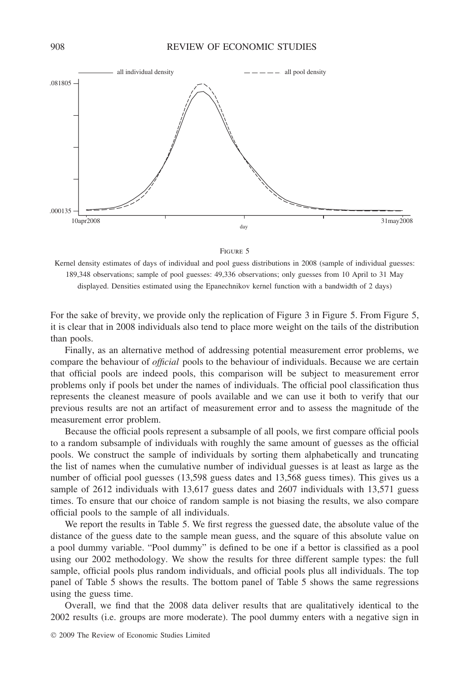

Figure 5

Kernel density estimates of days of individual and pool guess distributions in 2008 (sample of individual guesses: 189,348 observations; sample of pool guesses: 49,336 observations; only guesses from 10 April to 31 May displayed. Densities estimated using the Epanechnikov kernel function with a bandwidth of 2 days)

For the sake of brevity, we provide only the replication of Figure 3 in Figure 5. From Figure 5, it is clear that in 2008 individuals also tend to place more weight on the tails of the distribution than pools.

Finally, as an alternative method of addressing potential measurement error problems, we compare the behaviour of *official* pools to the behaviour of individuals. Because we are certain that official pools are indeed pools, this comparison will be subject to measurement error problems only if pools bet under the names of individuals. The official pool classification thus represents the cleanest measure of pools available and we can use it both to verify that our previous results are not an artifact of measurement error and to assess the magnitude of the measurement error problem.

Because the official pools represent a subsample of all pools, we first compare official pools to a random subsample of individuals with roughly the same amount of guesses as the official pools. We construct the sample of individuals by sorting them alphabetically and truncating the list of names when the cumulative number of individual guesses is at least as large as the number of official pool guesses (13,598 guess dates and 13,568 guess times). This gives us a sample of 2612 individuals with 13,617 guess dates and 2607 individuals with 13,571 guess times. To ensure that our choice of random sample is not biasing the results, we also compare official pools to the sample of all individuals.

We report the results in Table 5. We first regress the guessed date, the absolute value of the distance of the guess date to the sample mean guess, and the square of this absolute value on a pool dummy variable. "Pool dummy" is defined to be one if a bettor is classified as a pool using our 2002 methodology. We show the results for three different sample types: the full sample, official pools plus random individuals, and official pools plus all individuals. The top panel of Table 5 shows the results. The bottom panel of Table 5 shows the same regressions using the guess time.

Overall, we find that the 2008 data deliver results that are qualitatively identical to the 2002 results (i.e. groups are more moderate). The pool dummy enters with a negative sign in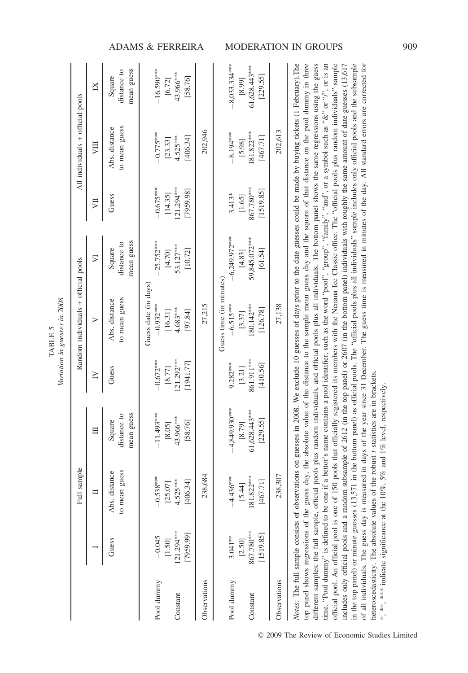|                                         |                                           | sample<br>Full                   |                                     |                                  | Random individuals + official pools                                                                                                                                                                                                                                                                                                                                                                                                                                                                                                                                                                                                                                                                                                                                                                                                                                                                                                                                                                                    |                                     |                                   | All individuals + official pools   |                                       |
|-----------------------------------------|-------------------------------------------|----------------------------------|-------------------------------------|----------------------------------|------------------------------------------------------------------------------------------------------------------------------------------------------------------------------------------------------------------------------------------------------------------------------------------------------------------------------------------------------------------------------------------------------------------------------------------------------------------------------------------------------------------------------------------------------------------------------------------------------------------------------------------------------------------------------------------------------------------------------------------------------------------------------------------------------------------------------------------------------------------------------------------------------------------------------------------------------------------------------------------------------------------------|-------------------------------------|-----------------------------------|------------------------------------|---------------------------------------|
|                                         |                                           |                                  | $\equiv$                            | $\geq$                           | $\geq$                                                                                                                                                                                                                                                                                                                                                                                                                                                                                                                                                                                                                                                                                                                                                                                                                                                                                                                                                                                                                 | $\overline{z}$                      | ΣÏ                                | VЩ                                 | X                                     |
|                                         | Guess                                     | to mean guess<br>Abs. distance   | mean guess<br>distance to<br>Square | Guess                            | to mean guess<br>Abs. distance                                                                                                                                                                                                                                                                                                                                                                                                                                                                                                                                                                                                                                                                                                                                                                                                                                                                                                                                                                                         | mean guess<br>distance to<br>Square | Guess                             | to mean guess<br>Abs. distance     | mean guess<br>distance to<br>Square   |
| Pool dunnny                             | $-0.045$<br>[1.50]                        | $-0.538***$<br>[25.07]           | $-11.493***$<br>[8.05]              | $-0.672***$<br>[8.77]            | Guess date (in days)<br>$-0.932***$<br>$[16.31]$                                                                                                                                                                                                                                                                                                                                                                                                                                                                                                                                                                                                                                                                                                                                                                                                                                                                                                                                                                       | $-25.752***$<br>[4.70]              | $-0.675***$<br>[14.35]            | $-0.775***$<br>[23.33]             | $-16.590***$<br>[6.72]                |
| Constant                                | 121.294***<br>[7959.99]                   | $4.525***$<br>[406.34]           | 43.966***<br>[58.76]                | $121.292***$<br>[1941.77]        | $4.683***$<br>[97.84]                                                                                                                                                                                                                                                                                                                                                                                                                                                                                                                                                                                                                                                                                                                                                                                                                                                                                                                                                                                                  | 53.127***<br>[10.72]                | 121.294***<br>[7959.98]           | $4.525***$<br>[406.34]             | 43.966***<br>[58.76]                  |
| Observations                            |                                           | 238,684                          |                                     |                                  | 27,215                                                                                                                                                                                                                                                                                                                                                                                                                                                                                                                                                                                                                                                                                                                                                                                                                                                                                                                                                                                                                 |                                     |                                   | 202,946                            |                                       |
| Pool dummy                              | $3.041**$                                 | $-4.436***$                      | $-4,849.930***$                     | $9.282***$                       | Guess time (in minutes)<br>$-6.515***$                                                                                                                                                                                                                                                                                                                                                                                                                                                                                                                                                                                                                                                                                                                                                                                                                                                                                                                                                                                 | $-6,249.972***$                     | $3.413*$                          | $-8.194***$                        | $-8,033.334***$                       |
| Constant                                | 867.780***<br>[1519.85]<br>[2.50]         | 181.822***<br>[467.71]<br>[5.44] | 61,628.443***<br>[229.55]<br>[8.79] | 861.911***<br>[410.56]<br>[3.21] | 180.142***<br>[126.78]<br>[3.37]                                                                                                                                                                                                                                                                                                                                                                                                                                                                                                                                                                                                                                                                                                                                                                                                                                                                                                                                                                                       | 59,845.072***<br>[61.54]<br>[4.83]  | 867.780***<br>[1519.85]<br>[1.65] | $181.822***$<br>[467.71]<br>[5.98] | $61,628.443***$<br>[229.55]<br>[8.99] |
| Observations                            |                                           | 38,307<br>$\mathbb{Z}$           |                                     |                                  | 27,138                                                                                                                                                                                                                                                                                                                                                                                                                                                                                                                                                                                                                                                                                                                                                                                                                                                                                                                                                                                                                 |                                     |                                   | 202,613                            |                                       |
| time. "Pool dummy" is defined to be one | official pool. An official pool is one of |                                  |                                     |                                  | Notes: The full sample consists of observations on guesses in 2008. We exclude 10 guesses of days prior to the date guesses could be made by buying tickets (1 February).The<br>top panel shows regressions of the guess day, the absolute value of the distance to the sample mean guess day and the square of that distance on the pool dummy in three<br>50 pools that officially registered its members with the Nenana Ice Classic office. The "official pools plus random individuals" sample<br>different samples: the full sample, official pools plus random individuals, and official pools plus all individuals. The bottom panel shows the same regressions using the guess<br>if a bettor's name contains a pool identifier, such as the word "pool", "group", "family", "and", or a symbol such as "&" or "/", or is an<br>includes only official pools and a random subsample of 2612 (in the top panel) or 2607 (in the bottom panel) individuals with roughly the same amount of date guesses (13,617 |                                     |                                   |                                    |                                       |

Variation in guesses in 2008 *Variation in guesses in 2008* TABLE 5 TABLE 5

© 2009 The Review of Economic Studies Limited

includes only official pools and a random subsample of 2612 (in the top panel) or 2607 (in the bottom panel) individuals with roughly the same amount of date guesses (13,617 in the top panel) or minute guesses (13,571 in the bottom panel) as official pools. The "official pools plus all individuals" sample includes only official pools and the subsample of all individuals. The guess day is measured in days of the year since 31 December. The guess time is measured in minutes of the day. All standard errors are corrected for

in the top panel) or minute guesses (13,571 in the bottom panel) as official pools. The "official pools plus all individuals" sample includes only official pools and the subsample of all individuals. The guess day is measured in days of the year since 31 December. The guess time is measured in minutes of the day. All standard errors are corrected for

heteroscedasticity. The absolute values of the robust *t*-statistics are in brackets. \*, \*\*, \*\*\* indicate significance at the 10%, 5% and 1% level, respectively.

heteroscedasticity. The absolute values of the robust t-statistics are in brackets. \*, \*\*, \*\*\* indicate significance at the 10%, 5% and 1% level, respectively.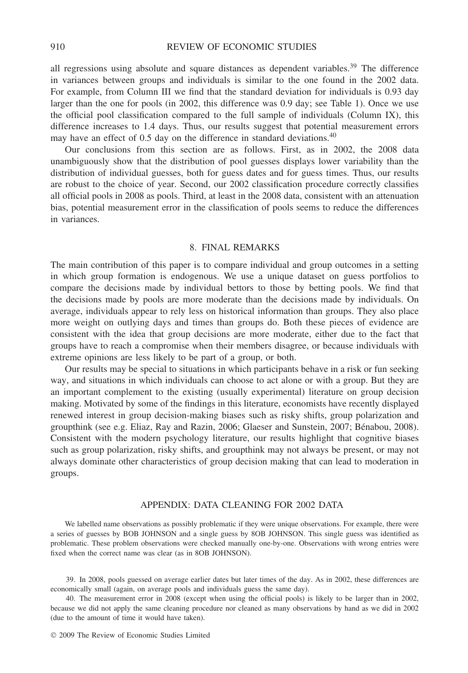all regressions using absolute and square distances as dependent variables.<sup>39</sup> The difference in variances between groups and individuals is similar to the one found in the 2002 data. For example, from Column III we find that the standard deviation for individuals is 0.93 day larger than the one for pools (in 2002, this difference was 0.9 day; see Table 1). Once we use the official pool classification compared to the full sample of individuals (Column IX), this difference increases to 1.4 days. Thus, our results suggest that potential measurement errors may have an effect of 0.5 day on the difference in standard deviations.<sup>40</sup>

Our conclusions from this section are as follows. First, as in 2002, the 2008 data unambiguously show that the distribution of pool guesses displays lower variability than the distribution of individual guesses, both for guess dates and for guess times. Thus, our results are robust to the choice of year. Second, our 2002 classification procedure correctly classifies all official pools in 2008 as pools. Third, at least in the 2008 data, consistent with an attenuation bias, potential measurement error in the classification of pools seems to reduce the differences in variances.

## 8. FINAL REMARKS

The main contribution of this paper is to compare individual and group outcomes in a setting in which group formation is endogenous. We use a unique dataset on guess portfolios to compare the decisions made by individual bettors to those by betting pools. We find that the decisions made by pools are more moderate than the decisions made by individuals. On average, individuals appear to rely less on historical information than groups. They also place more weight on outlying days and times than groups do. Both these pieces of evidence are consistent with the idea that group decisions are more moderate, either due to the fact that groups have to reach a compromise when their members disagree, or because individuals with extreme opinions are less likely to be part of a group, or both.

Our results may be special to situations in which participants behave in a risk or fun seeking way, and situations in which individuals can choose to act alone or with a group. But they are an important complement to the existing (usually experimental) literature on group decision making. Motivated by some of the findings in this literature, economists have recently displayed renewed interest in group decision-making biases such as risky shifts, group polarization and groupthink (see e.g. Eliaz, Ray and Razin, 2006; Glaeser and Sunstein, 2007; Benabou, 2008). ´ Consistent with the modern psychology literature, our results highlight that cognitive biases such as group polarization, risky shifts, and groupthink may not always be present, or may not always dominate other characteristics of group decision making that can lead to moderation in groups.

## APPENDIX: DATA CLEANING FOR 2002 DATA

We labelled name observations as possibly problematic if they were unique observations. For example, there were a series of guesses by BOB JOHNSON and a single guess by 8OB JOHNSON. This single guess was identified as problematic. These problem observations were checked manually one-by-one. Observations with wrong entries were fixed when the correct name was clear (as in 8OB JOHNSON).

39. In 2008, pools guessed on average earlier dates but later times of the day. As in 2002, these differences are economically small (again, on average pools and individuals guess the same day).

40. The measurement error in 2008 (except when using the official pools) is likely to be larger than in 2002, because we did not apply the same cleaning procedure nor cleaned as many observations by hand as we did in 2002 (due to the amount of time it would have taken).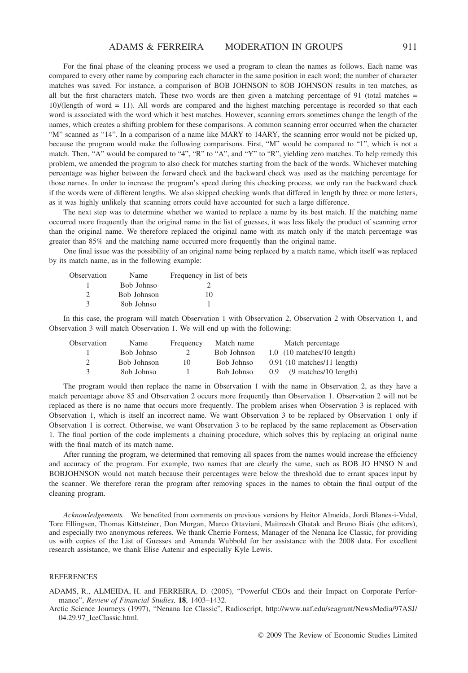For the final phase of the cleaning process we used a program to clean the names as follows. Each name was compared to every other name by comparing each character in the same position in each word; the number of character matches was saved. For instance, a comparison of BOB JOHNSON to 8OB JOHNSON results in ten matches, as all but the first characters match. These two words are then given a matching percentage of 91 (total matches  $=$ 10)/(length of word = 11). All words are compared and the highest matching percentage is recorded so that each word is associated with the word which it best matches. However, scanning errors sometimes change the length of the names, which creates a shifting problem for these comparisons. A common scanning error occurred when the character "M" scanned as "14". In a comparison of a name like MARY to 14ARY, the scanning error would not be picked up, because the program would make the following comparisons. First, "M" would be compared to "1", which is not a match. Then, "A" would be compared to "4", "R" to "A", and "Y" to "R", yielding zero matches. To help remedy this problem, we amended the program to also check for matches starting from the back of the words. Whichever matching percentage was higher between the forward check and the backward check was used as the matching percentage for those names. In order to increase the program's speed during this checking process, we only ran the backward check if the words were of different lengths. We also skipped checking words that differed in length by three or more letters, as it was highly unlikely that scanning errors could have accounted for such a large difference.

The next step was to determine whether we wanted to replace a name by its best match. If the matching name occurred more frequently than the original name in the list of guesses, it was less likely the product of scanning error than the original name. We therefore replaced the original name with its match only if the match percentage was greater than 85% and the matching name occurred more frequently than the original name.

One final issue was the possibility of an original name being replaced by a match name, which itself was replaced by its match name, as in the following example:

| Observation | Name        | Frequency in list of bets |
|-------------|-------------|---------------------------|
|             | Bob Johnso  |                           |
|             | Bob Johnson | 10                        |
|             | 80b Johnso  |                           |

In this case, the program will match Observation 1 with Observation 2, Observation 2 with Observation 1, and Observation 3 will match Observation 1. We will end up with the following:

| Observation | Name        | Frequency | Match name  | Match percentage                            |
|-------------|-------------|-----------|-------------|---------------------------------------------|
|             | Bob Johnso  |           | Bob Johnson | $1.0$ (10 matches/10 length)                |
| 2           | Bob Johnson | 10        | Bob Johnso  | $0.91$ (10 matches/11 length)               |
| 3           | 80b Johnso  |           | Bob Johnso  | $(9$ matches/10 length)<br>0.9 <sup>°</sup> |

The program would then replace the name in Observation 1 with the name in Observation 2, as they have a match percentage above 85 and Observation 2 occurs more frequently than Observation 1. Observation 2 will not be replaced as there is no name that occurs more frequently. The problem arises when Observation 3 is replaced with Observation 1, which is itself an incorrect name. We want Observation 3 to be replaced by Observation 1 only if Observation 1 is correct. Otherwise, we want Observation 3 to be replaced by the same replacement as Observation 1. The final portion of the code implements a chaining procedure, which solves this by replacing an original name with the final match of its match name.

After running the program, we determined that removing all spaces from the names would increase the efficiency and accuracy of the program. For example, two names that are clearly the same, such as BOB JO HNSO N and BOBJOHNSON would not match because their percentages were below the threshold due to errant spaces input by the scanner. We therefore reran the program after removing spaces in the names to obtain the final output of the cleaning program.

*Acknowledgements.* We benefited from comments on previous versions by Heitor Almeida, Jordi Blanes-i-Vidal, Tore Ellingsen, Thomas Kittsteiner, Don Morgan, Marco Ottaviani, Maitreesh Ghatak and Bruno Biais (the editors), and especially two anonymous referees. We thank Cherrie Forness, Manager of the Nenana Ice Classic, for providing us with copies of the List of Guesses and Amanda Wubbold for her assistance with the 2008 data. For excellent research assistance, we thank Elise Aatenir and especially Kyle Lewis.

## **REFERENCES**

ADAMS, R., ALMEIDA, H. and FERREIRA, D. (2005), "Powerful CEOs and their Impact on Corporate Performance", *Review of Financial Studies,* **18**, 1403–1432.

Arctic Science Journeys (1997), "Nenana Ice Classic", Radioscript, http://www.uaf.edu/seagrant/NewsMedia/97ASJ/ 04.29.97\_IceClassic.html.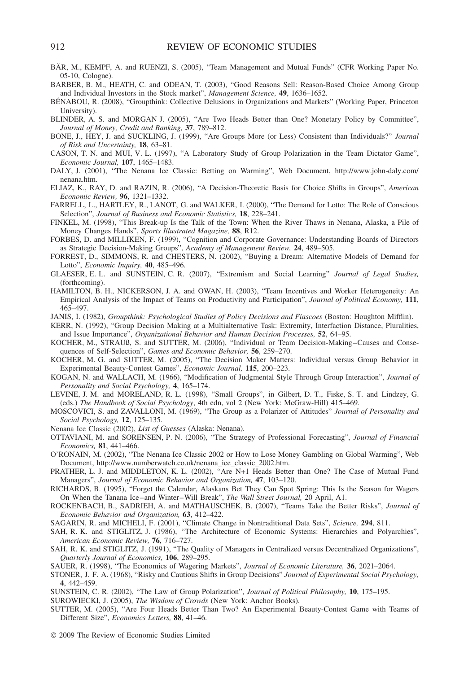- BÄR, M., KEMPF, A. and RUENZI, S. (2005), "Team Management and Mutual Funds" (CFR Working Paper No. 05-10, Cologne).
- BARBER, B. M., HEATH, C. and ODEAN, T. (2003), "Good Reasons Sell: Reason-Based Choice Among Group and Individual Investors in the Stock market", *Management Science,* **49**, 1636–1652.
- BENABOU, R. (2008), "Groupthink: Collective Delusions in Organizations and Markets" (Working Paper, Princeton ´ University).
- BLINDER, A. S. and MORGAN J. (2005), "Are Two Heads Better than One? Monetary Policy by Committee", *Journal of Money, Credit and Banking,* **37**, 789–812.
- BONE, J., HEY, J. and SUCKLING, J. (1999), "Are Groups More (or Less) Consistent than Individuals?" *Journal of Risk and Uncertainty,* **18**, 63–81.
- CASON, T. N. and MUI, V. L. (1997), "A Laboratory Study of Group Polarization in the Team Dictator Game", *Economic Journal,* **107**, 1465–1483.
- DALY, J. (2001), "The Nenana Ice Classic: Betting on Warming", Web Document, http://www.john-daly.com/ nenana.htm.
- ELIAZ, K., RAY, D. and RAZIN, R. (2006), "A Decision-Theoretic Basis for Choice Shifts in Groups", *American Economic Review,* **96**, 1321–1332.
- FARRELL, L., HARTLEY, R., LANOT, G. and WALKER, I. (2000), "The Demand for Lotto: The Role of Conscious Selection", *Journal of Business and Economic Statistics,* **18**, 228–241.
- FINKEL, M. (1998), "This Break-up Is the Talk of the Town: When the River Thaws in Nenana, Alaska, a Pile of Money Changes Hands", *Sports Illustrated Magazine,* **88**, R12.
- FORBES, D. and MILLIKEN, F. (1999), "Cognition and Corporate Governance: Understanding Boards of Directors as Strategic Decision-Making Groups", *Academy of Management Review,* **24**, 489–505.
- FORREST, D., SIMMONS, R. and CHESTERS, N. (2002), "Buying a Dream: Alternative Models of Demand for Lotto", *Economic Inquiry,* **40**, 485–496.
- GLAESER, E. L. and SUNSTEIN, C. R. (2007), "Extremism and Social Learning" *Journal of Legal Studies,* (forthcoming).
- HAMILTON, B. H., NICKERSON, J. A. and OWAN, H. (2003), "Team Incentives and Worker Heterogeneity: An Empirical Analysis of the Impact of Teams on Productivity and Participation", *Journal of Political Economy,* **111**, 465–497.
- JANIS, I. (1982), *Groupthink: Psychological Studies of Policy Decisions and Fiascoes* (Boston: Houghton Mifflin).
- KERR, N. (1992), "Group Decision Making at a Multialternative Task: Extremity, Interfaction Distance, Pluralities, and Issue Importance", *Organizational Behavior and Human Decision Processes,* **52**, 64–95.
- KOCHER, M., STRAUß, S. and SUTTER, M. (2006), "Individual or Team Decision-Making–Causes and Consequences of Self-Selection", *Games and Economic Behavior,* **56**, 259–270.
- KOCHER, M. G. and SUTTER, M. (2005), "The Decision Maker Matters: Individual versus Group Behavior in Experimental Beauty-Contest Games", *Economic Journal,* **115**, 200–223.
- KOGAN, N. and WALLACH, M. (1966), "Modification of Judgmental Style Through Group Interaction", *Journal of Personality and Social Psychology,* **4**, 165–174.
- LEVINE, J. M. and MORELAND, R. L. (1998), "Small Groups", in Gilbert, D. T., Fiske, S. T. and Lindzey, G. (eds.) *The Handbook of Social Psychology*, 4th edn, vol 2 (New York: McGraw-Hill) 415–469.
- MOSCOVICI, S. and ZAVALLONI, M. (1969), "The Group as a Polarizer of Attitudes" *Journal of Personality and Social Psychology,* **12**, 125–135.
- Nenana Ice Classic (2002), *List of Guesses* (Alaska: Nenana).
- OTTAVIANI, M. and SORENSEN, P. N. (2006), "The Strategy of Professional Forecasting", *Journal of Financial Economics,* **81**, 441–466.
- O'RONAIN, M. (2002), "The Nenana Ice Classic 2002 or How to Lose Money Gambling on Global Warming", Web Document, http://www.numberwatch.co.uk/nenana\_ice\_classic\_2002.htm.
- PRATHER, L. J. and MIDDLETON, K. L. (2002), "Are N+1 Heads Better than One? The Case of Mutual Fund Managers", *Journal of Economic Behavior and Organization,* **47**, 103–120.
- RICHARDS, B. (1995), "Forget the Calendar, Alaskans Bet They Can Spot Spring: This Is the Season for Wagers On When the Tanana Ice–and Winter–Will Break", *The Wall Street Journal,* 20 April, A1.
- ROCKENBACH, B., SADRIEH, A. and MATHAUSCHEK, B. (2007), "Teams Take the Better Risks", *Journal of Economic Behavior and Organization,* **63**, 412–422.
- SAGARIN, R. and MICHELI, F. (2001), "Climate Change in Nontraditional Data Sets", *Science,* **294**, 811.
- SAH, R. K. and STIGLITZ, J. (1986), "The Architecture of Economic Systems: Hierarchies and Polyarchies", *American Economic Review,* **76**, 716–727.
- SAH, R. K. and STIGLITZ, J. (1991), "The Quality of Managers in Centralized versus Decentralized Organizations", *Quarterly Journal of Economics,* **106**, 289–295.
- SAUER, R. (1998), "The Economics of Wagering Markets", *Journal of Economic Literature,* **36**, 2021–2064.
- STONER, J. F. A. (1968), "Risky and Cautious Shifts in Group Decisions" *Journal of Experimental Social Psychology,* **4**, 442–459.
- SUNSTEIN, C. R. (2002), "The Law of Group Polarization", *Journal of Political Philosophy,* **10**, 175–195.
- SUROWIECKI, J. (2005), *The Wisdom of Crowds* (New York: Anchor Books).
- SUTTER, M. (2005), "Are Four Heads Better Than Two? An Experimental Beauty-Contest Game with Teams of Different Size", *Economics Letters,* **88**, 41–46.

© 2009 The Review of Economic Studies Limited